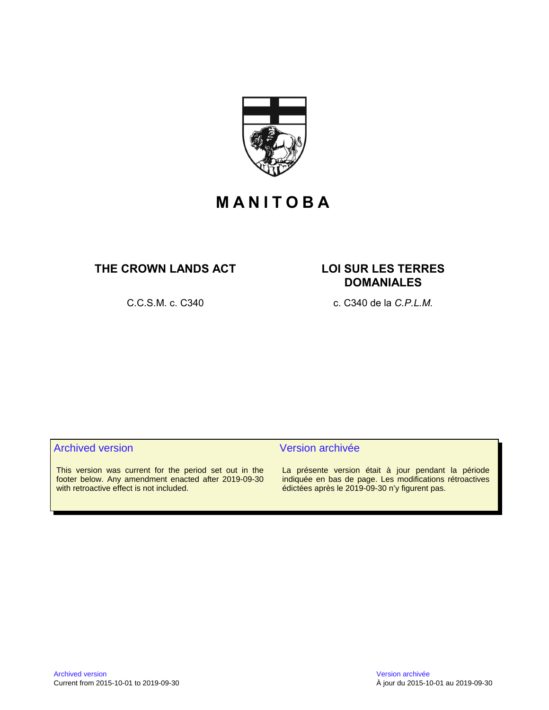

# **M A N I T O B A**

# THE CROWN LANDS ACT LOI SUR LES TERRES

# **DOMANIALES**

C.C.S.M. c. C340 c. C340 de la *C.P.L.M.*

# Archived version and version archivée

This version was current for the period set out in the footer below. Any amendment enacted after 2019-09-30 with retroactive effect is not included.

La présente version était à jour pendant la période indiquée en bas de page. Les modifications rétroactives édictées après le 2019-09-30 n'y figurent pas.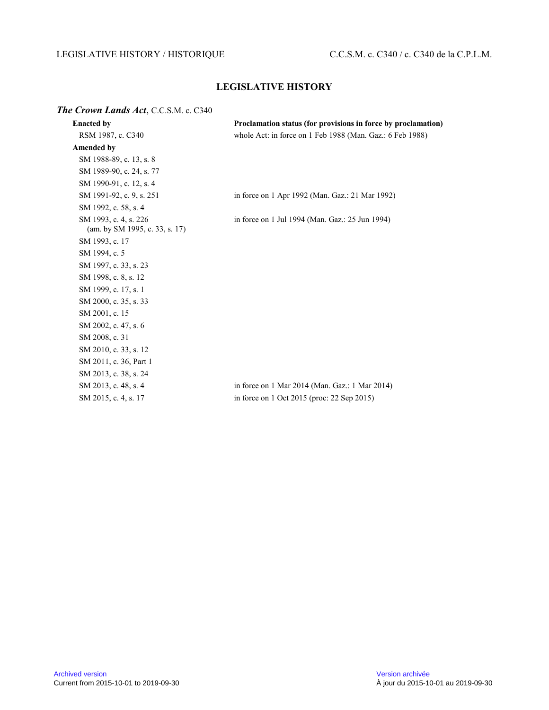# LEGISLATIVE HISTORY / HISTORIQUE C.C.S.M. c. C340 / c. C340 de la C.P.L.M.

# **LEGISLATIVE HISTORY**

# *The Crown Lands Act*, C.C.S.M. c. C340

| <b>Enacted by</b>                                       | Proclamation status (for provisions in force by proclamation) |
|---------------------------------------------------------|---------------------------------------------------------------|
| RSM 1987, c. C340                                       | whole Act: in force on 1 Feb 1988 (Man. Gaz.: 6 Feb 1988)     |
| <b>Amended by</b>                                       |                                                               |
| SM 1988-89, c. 13, s. 8                                 |                                                               |
| SM 1989-90, c. 24, s. 77                                |                                                               |
| SM 1990-91, c. 12, s. 4                                 |                                                               |
| SM 1991-92, c. 9, s. 251                                | in force on 1 Apr 1992 (Man. Gaz.: 21 Mar 1992)               |
| SM 1992, c. 58, s. 4                                    |                                                               |
| SM 1993, c. 4, s. 226<br>(am. by SM 1995, c. 33, s. 17) | in force on 1 Jul 1994 (Man. Gaz.: 25 Jun 1994)               |
| SM 1993, c. 17                                          |                                                               |
| SM 1994, c. 5                                           |                                                               |
| SM 1997, c. 33, s. 23                                   |                                                               |
| SM 1998, c. 8, s. 12                                    |                                                               |
| SM 1999, c. 17, s. 1                                    |                                                               |
| SM 2000, c. 35, s. 33                                   |                                                               |
| SM 2001, c. 15                                          |                                                               |
| SM 2002, c. 47, s. 6                                    |                                                               |
| SM 2008, c. 31                                          |                                                               |
| SM 2010, c. 33, s. 12                                   |                                                               |
| SM 2011, c. 36, Part 1                                  |                                                               |
| SM 2013, c. 38, s. 24                                   |                                                               |
| SM 2013, c. 48, s. 4                                    | in force on 1 Mar 2014 (Man. Gaz.: 1 Mar 2014)                |
| SM 2015, c. 4, s. 17                                    | in force on 1 Oct 2015 (proc: 22 Sep 2015)                    |
|                                                         |                                                               |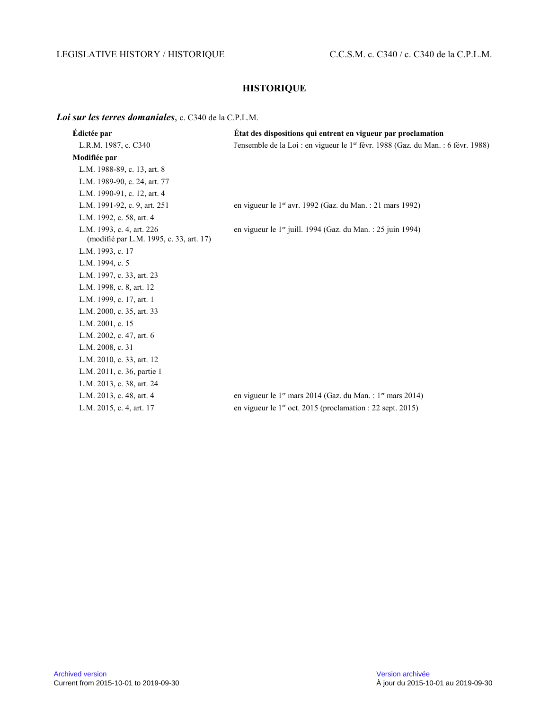# LEGISLATIVE HISTORY / HISTORIQUE C.C.S.M. c. C340 / c. C340 de la C.P.L.M.

# **HISTORIQUE**

#### *Loi sur les terres domaniales*, c. C340 de la C.P.L.M.

| Édictée par                                                          | Etat des dispositions qui entrent en vigueur par proclamation                                 |
|----------------------------------------------------------------------|-----------------------------------------------------------------------------------------------|
| L.R.M. 1987, c. C340                                                 | l'ensemble de la Loi : en vigueur le 1 <sup>er</sup> févr. 1988 (Gaz. du Man. : 6 févr. 1988) |
| Modifiée par                                                         |                                                                                               |
| L.M. 1988-89, c. 13, art. 8                                          |                                                                                               |
| L.M. 1989-90, c. 24, art. 77                                         |                                                                                               |
| L.M. 1990-91, c. 12, art. 4                                          |                                                                                               |
| L.M. 1991-92, c. 9, art. 251                                         | en vigueur le 1 <sup>er</sup> avr. 1992 (Gaz. du Man. : 21 mars 1992)                         |
| L.M. 1992, c. 58, art. 4                                             |                                                                                               |
| L.M. 1993, c. 4, art. 226<br>(modifié par L.M. 1995, c. 33, art. 17) | en vigueur le 1 <sup>er</sup> juill. 1994 (Gaz. du Man. : 25 juin 1994)                       |
| L.M. 1993, c. 17                                                     |                                                                                               |
| L.M. 1994, c. 5                                                      |                                                                                               |
| L.M. 1997, c. 33, art. 23                                            |                                                                                               |
| L.M. 1998, c. 8, art. 12                                             |                                                                                               |
| L.M. 1999, c. 17, art. 1                                             |                                                                                               |
| L.M. 2000, c. 35, art. 33                                            |                                                                                               |
| L.M. 2001, c. 15                                                     |                                                                                               |
| L.M. 2002, c. 47, art. 6                                             |                                                                                               |
| L.M. 2008, c. 31                                                     |                                                                                               |
| L.M. 2010, c. 33, art. 12                                            |                                                                                               |
| L.M. 2011, c. 36, partie 1                                           |                                                                                               |
| L.M. 2013, c. 38, art. 24                                            |                                                                                               |
| L.M. 2013, c. 48, art. 4                                             | en vigueur le 1 <sup>er</sup> mars 2014 (Gaz. du Man. : 1 <sup>er</sup> mars 2014)            |
| L.M. 2015, c. 4, art. 17                                             | en vigueur le 1 <sup>er</sup> oct. 2015 (proclamation : 22 sept. 2015)                        |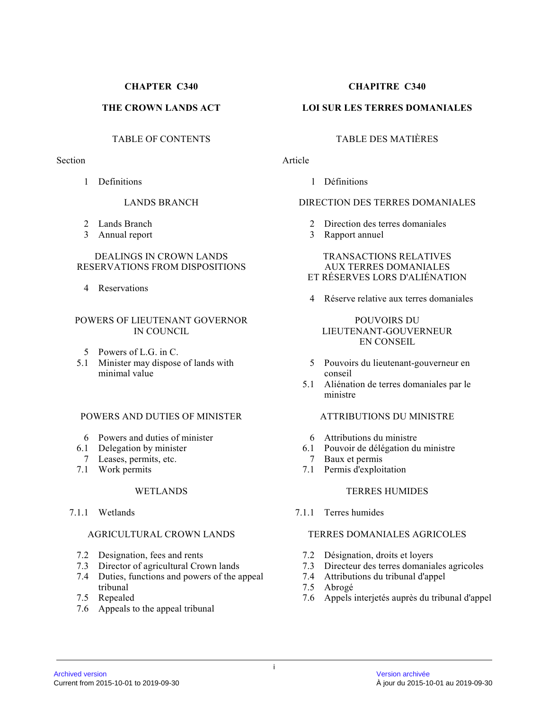### **CHAPTER C340**

# **THE CROWN LANDS ACT**

# TABLE OF CONTENTS

#### Section

1 Definitions

# LANDS BRANCH

- 2 Lands Branch
- 3 Annual report

#### DEALINGS IN CROWN LANDS RESERVATIONS FROM DISPOSITIONS

4 Reservations

### POWERS OF LIEUTENANT GOVERNOR IN COUNCIL

- 5 Powers of L.G. in C.
- 5.1 Minister may dispose of lands with minimal value

#### POWERS AND DUTIES OF MINISTER

- 6 Powers and duties of minister
- 6.1 Delegation by minister
- 7 Leases, permits, etc.
- 7.1 Work permits

# WETLANDS

7.1.1 Wetlands

# AGRICULTURAL CROWN LANDS

- 7.2 Designation, fees and rents
- 7.3 Director of agricultural Crown lands
- 7.4 Duties, functions and powers of the appeal tribunal
- 7.5 Repealed
- 7.6 Appeals to the appeal tribunal

# **CHAPITRE C340**

# **LOI SUR LES TERRES DOMANIALES**

# TABLE DES MATIÈRES

# Article

l Définitions

# DIRECTION DES TERRES DOMANIALES

- 2 Direction des terres domaniales
- 3 Rapport annuel

#### TRANSACTIONS RELATIVES AUX TERRES DOMANIALES ET RÉSERVES LORS D'ALIÉNATION

4 Réserve relative aux terres domaniales

#### POUVOIRS DU LIEUTENANT-GOUVERNEUR EN CONSEIL

- 5 Pouvoirs du lieutenant-gouverneur en conseil
- 5.1 Aliénation de terres domaniales par le ministre

# ATTRIBUTIONS DU MINISTRE

- 6 Attributions du ministre
- 6.1 Pouvoir de délégation du ministre<br>7 Baux et permis
- Baux et permis
- 7.1 Permis d'exploitation

# TERRES HUMIDES

7.1.1 Terres humides

#### TERRES DOMANIALES AGRICOLES

- 7.2 Désignation, droits et loyers
- 7.3 Directeur des terres domaniales agricoles
- 7.4 Attributions du tribunal d'appel
- 7.5 Abrogé
- 7.6 Appels interjetés auprès du tribunal d'appel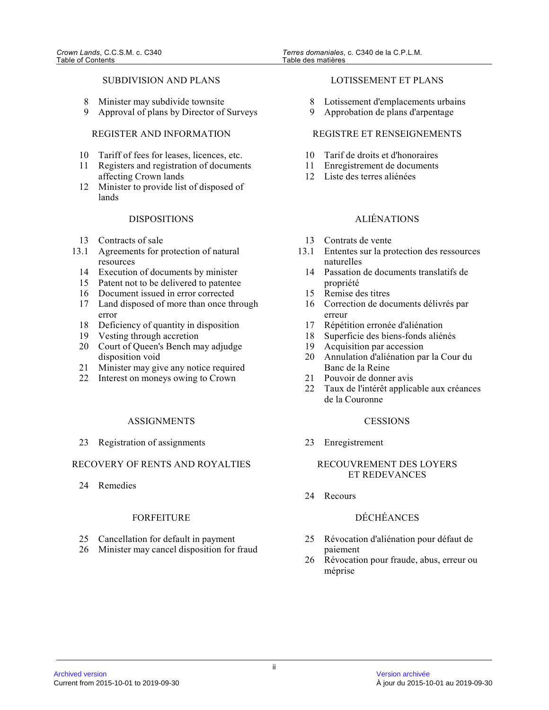#### SUBDIVISION AND PLANS

- 8 Minister may subdivide townsite
- 9 Approval of plans by Director of Surveys

# REGISTER AND INFORMATION

- 10 Tariff of fees for leases, licences, etc.
- 11 Registers and registration of documents affecting Crown lands
- 12 Minister to provide list of disposed of lands

#### DISPOSITIONS

- 13 Contracts of sale
- 13.1 Agreements for protection of natural resources
	- 14 Execution of documents by minister
	- 15 Patent not to be delivered to patentee
	- 16 Document issued in error corrected
	- 17 Land disposed of more than once through error
	- 18 Deficiency of quantity in disposition
	- 19 Vesting through accretion
	- 20 Court of Queen's Bench may adjudge disposition void
	- 21 Minister may give any notice required
	- 22 Interest on moneys owing to Crown

#### ASSIGNMENTS

23 Registration of assignments

# RECOVERY OF RENTS AND ROYALTIES

24 Remedies

#### FORFEITURE

- 25 Cancellation for default in payment
- 26 Minister may cancel disposition for fraud

#### LOTISSEMENT ET PLANS

- 8 Lotissement d'emplacements urbains
- 9 Approbation de plans d'arpentage

# REGISTRE ET RENSEIGNEMENTS

- 10 Tarif de droits et d'honoraires
- 11 Enregistrement de documents
- 12 Liste des terres aliénées

# ALIÉNATIONS

- 13 Contrats de vente
- 13.1 Ententes sur la protection des ressources naturelles
	- 14 Passation de documents translatifs de propriété
	- 15 Remise des titres
	- 16 Correction de documents délivrés par erreur
	- 17 Répétition erronée d'aliénation
	- 18 Superficie des biens-fonds aliénés
	- 19 Acquisition par accession
	- 20 Annulation d'aliénation par la Cour du Banc de la Reine
	- 21 Pouvoir de donner avis
	- 22 Taux de l'intérêt applicable aux créances de la Couronne

#### **CESSIONS**

23 Enregistrement

#### RECOUVREMENT DES LOYERS ET REDEVANCES

24 Recours

# DÉCHÉANCES

- 25 Révocation d'aliénation pour défaut de paiement
- 26 Révocation pour fraude, abus, erreur ou méprise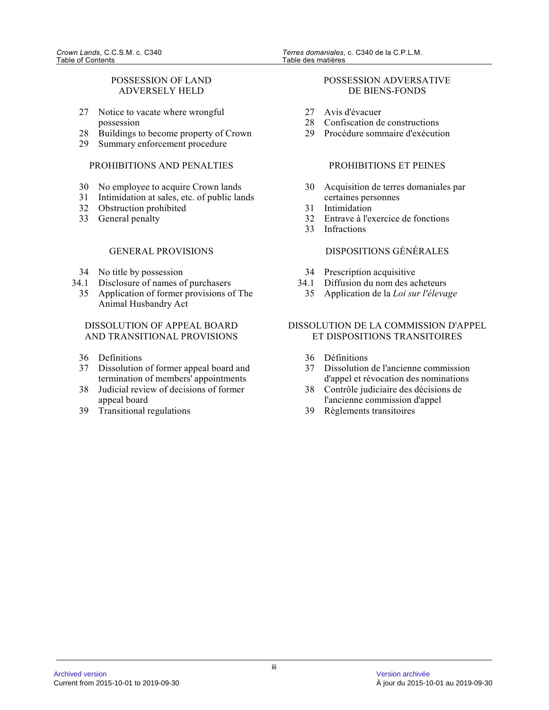# POSSESSION OF LAND ADVERSELY HELD

- 27 Notice to vacate where wrongful possession
- 28 Buildings to become property of Crown
- 29 Summary enforcement procedure

# PROHIBITIONS AND PENALTIES

- 30 No employee to acquire Crown lands
- 31 Intimidation at sales, etc. of public lands
- 32 Obstruction prohibited
- 33 General penalty

# GENERAL PROVISIONS

- 34 No title by possession
- 34.1 Disclosure of names of purchasers
	- 35 Application of former provisions of The Animal Husbandry Act

# DISSOLUTION OF APPEAL BOARD AND TRANSITIONAL PROVISIONS

- 36 Definitions
- 37 Dissolution of former appeal board and termination of members' appointments
- 38 Judicial review of decisions of former appeal board
- 39 Transitional regulations

#### POSSESSION ADVERSATIVE DE BIENS-FONDS

- 27 Avis d'évacuer<br>28 Confiscation de
- Confiscation de constructions
- 29 Procédure sommaire d'exécution

#### PROHIBITIONS ET PEINES

- 30 Acquisition de terres domaniales par certaines personnes
- 31 Intimidation
- 32 Entrave à l'exercice de fonctions
- 33 Infractions

# DISPOSITIONS GÉNÉRALES

- 34 Prescription acquisitive
- 34.1 Diffusion du nom des acheteurs
	- 35 Application de la *Loi sur l'élevage*

# DISSOLUTION DE LA COMMISSION D'APPEL ET DISPOSITIONS TRANSITOIRES

- 36 Définitions
- 37 Dissolution de l'ancienne commission d'appel et révocation des nominations
- 38 Contrôle judiciaire des décisions de l'ancienne commission d'appel
- 39 Règlements transitoires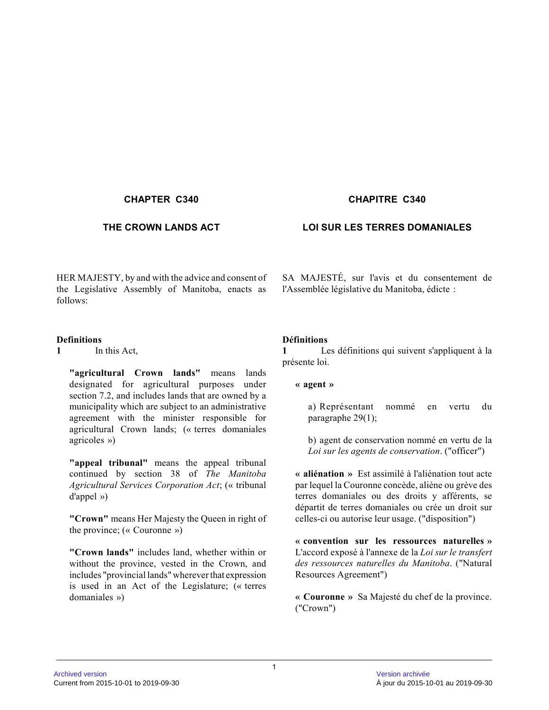HER MAJESTY, by and with the advice and consent of the Legislative Assembly of Manitoba, enacts as follows:

#### **Definitions**

**1** In this Act,

**"agricultural Crown lands"** means lands designated for agricultural purposes under section 7.2, and includes lands that are owned by a municipality which are subject to an administrative agreement with the minister responsible for agricultural Crown lands; (« terres domaniales agricoles »)

**"appeal tribunal"** means the appeal tribunal continued by section 38 of *The Manitoba Agricultural Services Corporation Act*; (« tribunal d'appel »)

**"Crown"** means Her Majesty the Queen in right of the province; (« Couronne »)

**"Crown lands"** includes land, whether within or without the province, vested in the Crown, and includes "provincial lands" wherever that expression is used in an Act of the Legislature; (« terres domaniales »)

# **CHAPTER C340 CHAPITRE C340**

# **THE CROWN LANDS ACT LOI SUR LES TERRES DOMANIALES**

SA MAJESTÉ, sur l'avis et du consentement de l'Assemblée législative du Manitoba, édicte :

#### **Définitions**

**1** Les définitions qui suivent s'appliquent à la présente loi.

### **« agent »**

a) Représentant nommé en vertu du paragraphe 29(1);

b) agent de conservation nommé en vertu de la *Loi sur les agents de conservation*. ("officer")

**« aliénation »** Est assimilé à l'aliénation tout acte par lequel la Couronne concède, aliène ou grève des terres domaniales ou des droits y afférents, se départit de terres domaniales ou crée un droit sur celles-ci ou autorise leur usage. ("disposition")

**« convention sur les ressources naturelles »** L'accord exposé à l'annexe de la *Loi sur le transfert des ressources naturelles du Manitoba*. ("Natural Resources Agreement")

**« Couronne »** Sa Majesté du chef de la province. ("Crown")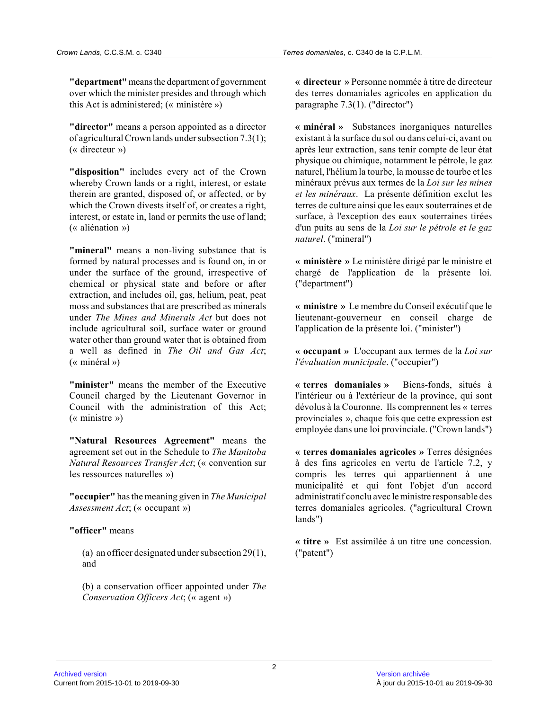**"department"** means the department of government over which the minister presides and through which this Act is administered; (« ministère »)

**"director"** means a person appointed as a director of agricultural Crown lands under subsection 7.3(1) ; (« directeur »)

**"disposition"** includes every act of the Crown whereby Crown lands or a right, interest, or estate therein are granted, disposed of, or affected, or b y which the Crown divests itself of, or creates a right, interest, or estate in, land or permits the use of land; (« aliénation »)

**"mineral"** means a non-living substance that is formed by natural processes and is found on, in or under the surface of the ground, irrespective of chemical or physical state and before or after extraction, and includes oil, gas, helium, peat, peat moss and substances that are prescribed as minerals under *The Mines and Minerals Act* but does not include agricultural soil, surface water or ground water other than ground water that is obtained from a well as defined in *The Oil and Gas Act* ; (« minéral »)

**"minister"** means the member of the Executive Council charged by the Lieutenant Governor in Council with the administration of this Act; (« ministre »)

**"Natural Resources Agreement"** means the agreement set out in the Schedule to *The Manitoba Natural Resources Transfer Act*; (« convention sur les ressources naturelles »)

**"occupier"** has the meaning given in *The Municipal Assessment Act*; (« occupant »)

#### **"officer"** means

(a) an officer designated under subsection 29(1), and

(b) a conservation officer appointed under *The Conservation Officers Act*; (« agent »)

**« directeur »** Personne nommée à titre de directeur des terres domaniales agricoles en application du paragraphe 7.3(1). ("director")

**« minéral »** Substances inorganiques naturelles existant à la surface du sol ou dans celui-ci, avant ou après leur extraction, sans tenir compte de leur état physique ou chimique, notamment le pétrole, le gaz naturel, l'hélium la tourbe, la mousse de tourbe et les minéraux prévus aux termes de la *Loi sur les mines et les minéraux*. La présente définition exclut les terres de culture ainsi que les eaux souterraines et de surface, à l'exception des eaux souterraines tirées d'un puits au sens de la *Loi sur le pétrole et le gaz naturel*. ("mineral")

**« ministère »** Le ministère dirigé par le ministre et chargé de l'application de la présente loi. ("department")

**« ministre »** Le membre du Conseil exécutif que le lieutenant-gouverneur en conseil charge de l'application de la présente loi. ("minister")

**« occupant »** L'occupant aux termes de la *Loi sur l'évaluation municipale*. ("occupier")

**« terres domaniales »** Biens-fonds, situés à l'intérieur ou à l'extérieur de la province, qui son t dévolus à la Couronne. Ils comprennent les « terres provinciales », chaque fois que cette expression est employée dans une loi provinciale. ("Crown lands")

**« terres domaniales agricoles »** Terres désignées à des fins agricoles en vertu de l'article 7.2, y compris les terres qui appartiennent à une municipalité et qui font l'objet d'un accord administratif conclu avec le ministre responsable des terres domaniales agricoles. ("agricultural Crown lands")

**« titre »** Est assimilée à un titre une concession. ("patent")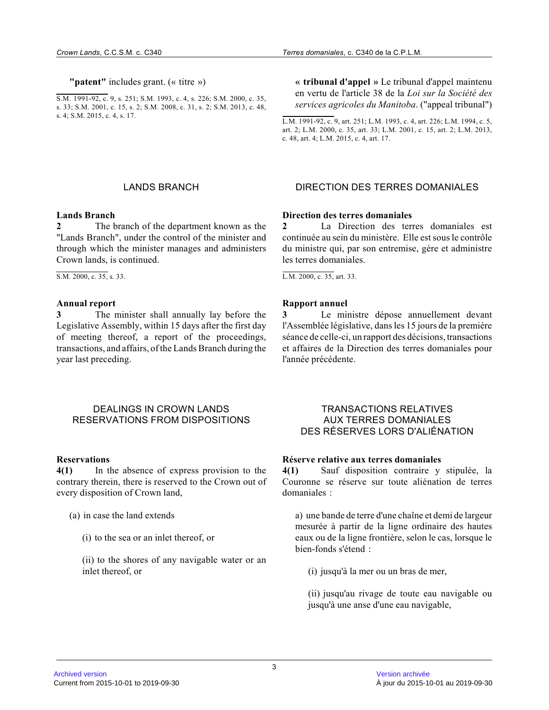**"patent"** includes grant. (« titre »)

S.M. 1991-92, c. 9, s. 251; S.M. 1993, c. 4, s. 226; S.M. 2000, c. 35, s. 33; S.M. 2001, c. 15, s. 2; S.M. 2008, c. 31, s. 2; S.M. 2013, c. 48, s. 4; S.M. 2015, c. 4, s. 17.

**« tribunal d'appel »** Le tribunal d'appel maintenu en vertu de l'article 38 de la *Loi sur la Société des services agricoles du Manitoba*. ("appeal tribunal")

L.M. 1991-92, c. 9, art. 251; L.M. 1993, c. 4, art. 226; L.M. 1994, c. 5, art. 2; L.M. 2000, c. 35, art. 33; L.M. 2001, c. 15, art. 2; L.M. 2013, c. 48, art. 4; L.M. 2015, c. 4, art. 17.

# LANDS BRANCH DIRECTION DES TERRES DOMANIALES

#### **Lands Branch**

**2** The branch of the department known as the "Lands Branch", under the control of the minister and through which the minister manages and administers Crown lands, is continued.

S.M. 2000, c. 35, s. 33.

#### **Annual report**

**3** The minister shall annually lay before the Legislative Assembly, within 15 days after the first day of meeting thereof, a report of the proceedings, transactions, and affairs, of the Lands Branch during the year last preceding.

#### DEALINGS IN CROWN LANDS RESERVATIONS FROM DISPOSITIONS

#### **Reservations**

**4(1)** In the absence of express provision to the contrary therein, there is reserved to the Crown out of every disposition of Crown land,

(a) in case the land extends

(i) to the sea or an inlet thereof, or

(ii) to the shores of any navigable water or an inlet thereof, or

#### **Direction des terres domaniales**

**2** La Direction des terres domaniales est continuée au sein du ministère. Elle est sous le contrôle du ministre qui, par son entremise, gère et administre les terres domaniales.

L.M. 2000, c. 35, art. 33.

#### **Rapport annuel**

**3** Le ministre dépose annuellement devant l'Assemblée législative, dans les 15 jours de la première séance de celle-ci, un rapport des décisions, transactions et affaires de la Direction des terres domaniales pour l'année précédente.

#### TRANSACTIONS RELATIVES AUX TERRES DOMANIALES DES RÉSERVES LORS D'ALIÉNATION

#### **Réserve relative aux terres domaniales**

**4(1)** Sauf disposition contraire y stipulée, la Couronne se réserve sur toute aliénation de terres domaniales :

a) une bande de terre d'une chaîne et demi de largeur mesurée à partir de la ligne ordinaire des hautes eaux ou de la ligne frontière, selon le cas, lorsque le bien-fonds s'étend :

(i) jusqu'à la mer ou un bras de mer,

(ii) jusqu'au rivage de toute eau navigable ou jusqu'à une anse d'une eau navigable,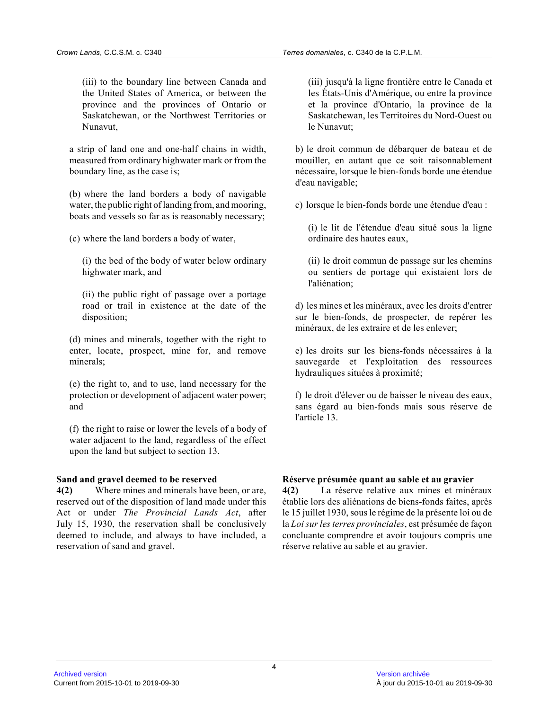(iii) to the boundary line between Canada and the United States of America, or between the province and the provinces of Ontario or Saskatchewan, or the Northwest Territories or Nunavut,

a strip of land one and one-half chains in width, measured from ordinary highwater mark or from the boundary line, as the case is;

(b) where the land borders a body of navigable water, the public right of landing from, and mooring, boats and vessels so far as is reasonably necessary;

(c) where the land borders a body of water,

(i) the bed of the body of water below ordinary highwater mark, and

(ii) the public right of passage over a portage road or trail in existence at the date of the disposition;

(d) mines and minerals, together with the right to enter, locate, prospect, mine for, and remove minerals;

(e) the right to, and to use, land necessary for the protection or development of adjacent water power; and

(f) the right to raise or lower the levels of a body of water adjacent to the land, regardless of the effec t upon the land but subject to section 13.

#### **Sand and gravel deemed to be reserved**

**4(2)** Where mines and minerals have been, or are, reserved out of the disposition of land made under this Act or under *The Provincial Lands Act*, after July 15, 1930, the reservation shall be conclusively deemed to include, and always to have included, a reservation of sand and gravel.

(iii) jusqu'à la ligne frontière entre le Canada et les États-Unis d'Amérique, ou entre la province et la province d'Ontario, la province de la Saskatchewan, les Territoires du Nord-Ouest ou le Nunavut;

b) le droit commun de débarquer de bateau et de mouiller, en autant que ce soit raisonnablement nécessaire, lorsque le bien-fonds borde une étendue d'eau navigable;

c) lorsque le bien-fonds borde une étendue d'eau :

(i) le lit de l'étendue d'eau situé sous la ligne ordinaire des hautes eaux,

(ii) le droit commun de passage sur les chemins ou sentiers de portage qui existaient lors de l'aliénation;

d) les mines et les minéraux, avec les droits d'entre r sur le bien-fonds, de prospecter, de repérer les minéraux, de les extraire et de les enlever;

e) les droits sur les biens-fonds nécessaires à la sauvegarde et l'exploitation des ressources hydrauliques situées à proximité;

f) le droit d'élever ou de baisser le niveau des eaux, sans égard au bien-fonds mais sous réserve de l'article 13.

# **Réserve présumée quant au sable et au gravier**

**4(2)** La réserve relative aux mines et minéraux établie lors des aliénations de biens-fonds faites, aprè s le 15 juillet 1930, sous le régime de la présente loi ou de la *Loi sur les terres provinciales*, est présumée de façon concluante comprendre et avoir toujours compris une réserve relative au sable et au gravier.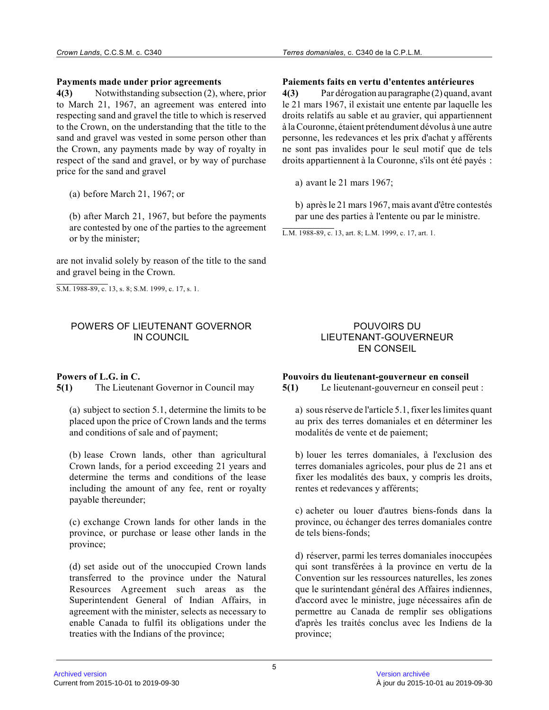#### **Payments made under prior agreements**

**4(3)** Notwithstanding subsection (2), where, prior to March 21, 1967, an agreement was entered into respecting sand and gravel the title to which is reserved to the Crown, on the understanding that the title to the sand and gravel was vested in some person other than the Crown, any payments made by way of royalty in respect of the sand and gravel, or by way of purchas e price for the sand and gravel

(a) before March 21, 1967; or

(b) after March 21, 1967, but before the payments are contested by one of the parties to the agreemen t or by the minister;

are not invalid solely by reason of the title to the sand and gravel being in the Crown.

S.M. 1988-89, c. 13, s. 8; S.M. 1999, c. 17, s. 1.

# POWERS OF LIEUTENANT GOVERNOR IN COUNCIL

# **Powers of L.G. in C.**

**5(1)** The Lieutenant Governor in Council may

(a) subject to section 5.1, determine the limits to be placed upon the price of Crown lands and the terms and conditions of sale and of payment;

(b) lease Crown lands, other than agricultural Crown lands, for a period exceeding 21 years and determine the terms and conditions of the lease including the amount of any fee, rent or royalty payable thereunder;

(c) exchange Crown lands for other lands in the province, or purchase or lease other lands in the province;

(d) set aside out of the unoccupied Crown lands transferred to the province under the Natural Resources Agreement such areas as the Superintendent General of Indian Affairs, in agreement with the minister, selects as necessary t o enable Canada to fulfil its obligations under the treaties with the Indians of the province;

### **Paiements faits en vertu d'ententes antérieures**

**4(3)** Par dérogation au paragraphe (2) quand, avant le 21 mars 1967, il existait une entente par laquelle les droits relatifs au sable et au gravier, qui appartiennent à la Couronne, étaient prétendument dévolus à une autre personne, les redevances et les prix d'achat y afférents ne sont pas invalides pour le seul motif que de tels droits appartiennent à la Couronne, s'ils ont été payés :

a) avant le 21 mars 1967;

b) après le 21 mars 1967, mais avant d'être contestés par une des parties à l'entente ou par le ministre.

L.M. 1988-89, c. 13, art. 8; L.M. 1999, c. 17, art. 1.

# POUVOIRS DU LIEUTENANT-GOUVERNEUR EN CONSEIL

# **Pouvoirs du lieutenant-gouverneur en conseil**

**5(1)** Le lieutenant-gouverneur en conseil peut :

a) sous réserve de l'article 5.1, fixer les limites quant au prix des terres domaniales et en déterminer les modalités de vente et de paiement;

b) louer les terres domaniales, à l'exclusion des terres domaniales agricoles, pour plus de 21 ans et fixer les modalités des baux, y compris les droits, rentes et redevances y afférents;

c) acheter ou louer d'autres biens-fonds dans la province, ou échanger des terres domaniales contre de tels biens-fonds;

d) réserver, parmi les terres domaniales inoccupées qui sont transférées à la province en vertu de la Convention sur les ressources naturelles, les zones que le surintendant général des Affaires indiennes, d'accord avec le ministre, juge nécessaires afin de permettre au Canada de remplir ses obligations d'après les traités conclus avec les Indiens de la province;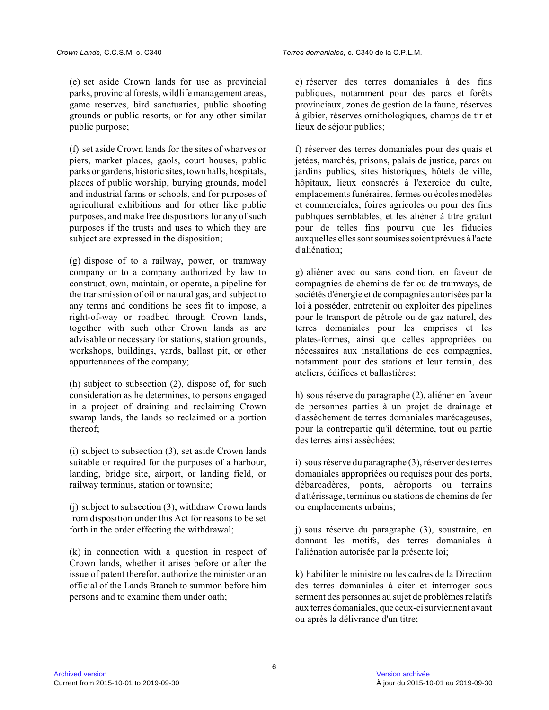(e) set aside Crown lands for use as provincial parks, provincial forests, wildlife management areas, game reserves, bird sanctuaries, public shooting grounds or public resorts, or for any other similar public purpose;

(f) set aside Crown lands for the sites of wharves or piers, market places, gaols, court houses, public parks or gardens, historic sites, town halls, hospitals, places of public worship, burying grounds, model and industrial farms or schools, and for purposes o f agricultural exhibitions and for other like public purposes, and make free dispositions for any of suc h purposes if the trusts and uses to which they are subject are expressed in the disposition;

(g) dispose of to a railway, power, or tramway company or to a company authorized by law to construct, own, maintain, or operate, a pipeline fo r the transmission of oil or natural gas, and subject to any terms and conditions he sees fit to impose, a right-of-way or roadbed through Crown lands, together with such other Crown lands as are advisable or necessary for stations, station grounds , workshops, buildings, yards, ballast pit, or other appurtenances of the company;

(h) subject to subsection (2), dispose of, for such consideration as he determines, to persons engaged in a project of draining and reclaiming Crown swamp lands, the lands so reclaimed or a portion thereof;

(i) subject to subsection (3), set aside Crown lands suitable or required for the purposes of a harbour, landing, bridge site, airport, or landing field, or railway terminus, station or townsite;

(j) subject to subsection (3), withdraw Crown lands from disposition under this Act for reasons to be set forth in the order effecting the withdrawal;

(k) in connection with a question in respect of Crown lands, whether it arises before or after the issue of patent therefor, authorize the minister or an official of the Lands Branch to summon before him persons and to examine them under oath;

e) réserver des terres domaniales à des fins publiques, notamment pour des parcs et forêts provinciaux, zones de gestion de la faune, réserves à gibier, réserves ornithologiques, champs de tir et lieux de séjour publics;

f) réserver des terres domaniales pour des quais et jetées, marchés, prisons, palais de justice, parcs ou jardins publics, sites historiques, hôtels de ville, hôpitaux, lieux consacrés à l'exercice du culte, emplacements funéraires, fermes ou écoles modèles et commerciales, foires agricoles ou pour des fins publiques semblables, et les aliéner à titre gratui t pour de telles fins pourvu que les fiducies auxquelles elles sont soumises soient prévues à l'acte d'aliénation;

g) aliéner avec ou sans condition, en faveur de compagnies de chemins de fer ou de tramways, de sociétés d'énergie et de compagnies autorisées par la loi à posséder, entretenir ou exploiter des pipelines pour le transport de pétrole ou de gaz naturel, des terres domaniales pour les emprises et les plates-formes, ainsi que celles appropriées ou nécessaires aux installations de ces compagnies, notamment pour des stations et leur terrain, des ateliers, édifices et ballastières;

h) sous réserve du paragraphe (2), aliéner en faveur de personnes parties à un projet de drainage et d'assèchement de terres domaniales marécageuses, pour la contrepartie qu'il détermine, tout ou parti e des terres ainsi assèchées;

i) sous réserve du paragraphe (3), réserver des terres domaniales appropriées ou requises pour des ports, débarcadères, ponts, aéroports ou terrains d'attérissage, terminus ou stations de chemins de fer ou emplacements urbains;

j) sous réserve du paragraphe (3), soustraire, en donnant les motifs, des terres domaniales à l'aliénation autorisée par la présente loi;

k) habiliter le ministre ou les cadres de la Direction des terres domaniales à citer et interroger sous serment des personnes au sujet de problèmes relatifs aux terres domaniales, que ceux-ci surviennent avant ou après la délivrance d'un titre;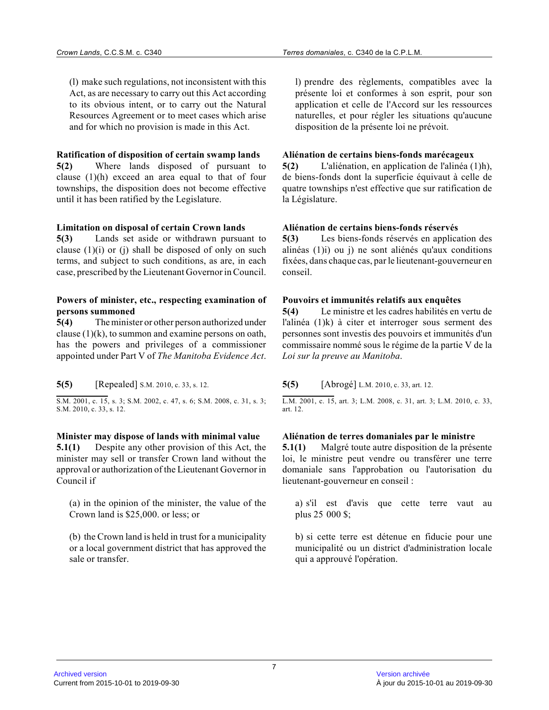(l) make such regulations, not inconsistent with thi s Act, as are necessary to carry out this Act according to its obvious intent, or to carry out the Natural Resources Agreement or to meet cases which arise and for which no provision is made in this Act.

#### **Ratification of disposition of certain swamp lands**

**5(2)** Where lands disposed of pursuant to clause (1)(h) exceed an area equal to that of four townships, the disposition does not become effective until it has been ratified by the Legislature.

#### **Limitation on disposal of certain Crown lands**

**5(3)** Lands set aside or withdrawn pursuant to clause  $(1)(i)$  or  $(i)$  shall be disposed of only on such terms, and subject to such conditions, as are, in each case, prescribed by the Lieutenant Governor in Council.

#### **Powers of minister, etc., respecting examination of persons summoned**

**5(4)** The minister or other person authorized under clause  $(1)(k)$ , to summon and examine persons on oath, has the powers and privileges of a commissioner appointed under Part V of *The Manitoba Evidence Act* .

**5(5)** [Repealed] S.M. 2010, c. 33, s. 12.

S.M. 2001, c. 15, s. 3; S.M. 2002, c. 47, s. 6; S.M. 2008, c. 31, s. 3; S.M. 2010, c. 33, s. 12.

#### **Minister may dispose of lands with minimal value**

**5.1(1)** Despite any other provision of this Act, the minister may sell or transfer Crown land without th e approval or authorization of the Lieutenant Governor in Council if

(a) in the opinion of the minister, the value of the Crown land is \$25,000. or less; or

(b) the Crown land is held in trust for a municipality or a local government district that has approved the sale or transfer.

l) prendre des règlements, compatibles avec la présente loi et conformes à son esprit, pour son application et celle de l'Accord sur les ressources naturelles, et pour régler les situations qu'aucune disposition de la présente loi ne prévoit.

# **Aliénation de certains biens-fonds marécageux**

**5(2)** L'aliénation, en application de l'alinéa (1)h), de biens-fonds dont la superficie équivaut à celle d e quatre townships n'est effective que sur ratification de la Législature.

#### **Aliénation de certains biens-fonds réservés**

**5(3)** Les biens-fonds réservés en application des alinéas (1)i) ou j) ne sont aliénés qu'aux conditions fixées, dans chaque cas, par le lieutenant-gouverneur en conseil.

# **Pouvoirs et immunités relatifs aux enquêtes**

**5(4)** Le ministre et les cadres habilités en vertu de l'alinéa (1)k) à citer et interroger sous serment des personnes sont investis des pouvoirs et immunités d'u n commissaire nommé sous le régime de la partie V de la *Loi sur la preuve au Manitoba* .

# **5(5)** [Abrogé] L.M. 2010, c. 33, art. 12.

L.M. 2001, c. 15, art. 3; L.M. 2008, c. 31, art. 3; L.M. 2010, c. 33, art. 12.

#### **Aliénation de terres domaniales par le ministre**

**5.1(1)** Malgré toute autre disposition de la présente loi, le ministre peut vendre ou transférer une terre domaniale sans l'approbation ou l'autorisation du lieutenant-gouverneur en conseil :

a) s'il est d'avis que cette terre vaut au plus 25 000 \$;

b) si cette terre est détenue en fiducie pour une municipalité ou un district d'administration locale qui a approuvé l'opération.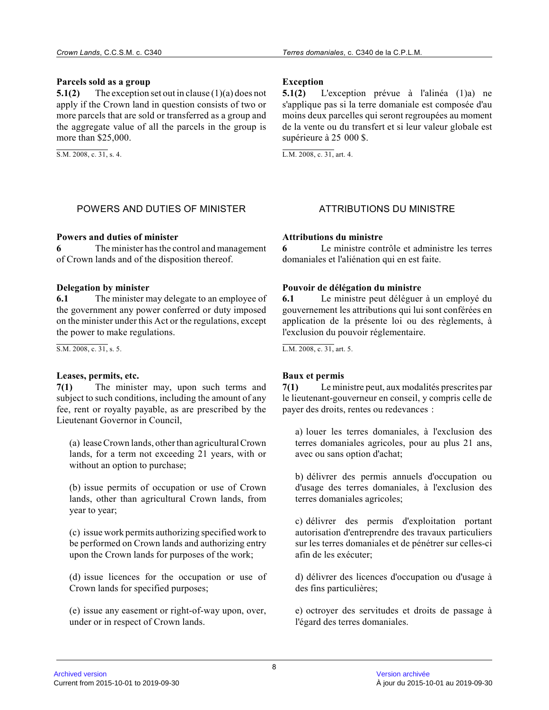#### **Parcels sold as a group**

**5.1(2)** The exception set out in clause (1)(a) does not apply if the Crown land in question consists of two or more parcels that are sold or transferred as a group and the aggregate value of all the parcels in the group is more than \$25,000.

S.M. 2008, c. 31, s. 4.

# **Exception**

**5.1(2)** L'exception prévue à l'alinéa (1)a) ne s'applique pas si la terre domaniale est composée d'au moins deux parcelles qui seront regroupées au momen t de la vente ou du transfert et si leur valeur globale est supérieure à 25 000 \$.

L.M. 2008, c. 31, art. 4.

# POWERS AND DUTIES OF MINISTER ATTRIBUTIONS DU MINISTRE

# **Powers and duties of minister**

**6** The minister has the control and management of Crown lands and of the disposition thereof.

#### **Delegation by minister**

**6.1** The minister may delegate to an employee of the government any power conferred or duty imposed on the minister under this Act or the regulations, except the power to make regulations.

S.M. 2008, c. 31, s. 5.

# **Leases, permits, etc.**

**7(1)** The minister may, upon such terms and subject to such conditions, including the amount of any fee, rent or royalty payable, as are prescribed by the Lieutenant Governor in Council,

(a) lease Crown lands, other than agricultural Crown lands, for a term not exceeding 21 years, with or without an option to purchase;

(b) issue permits of occupation or use of Crown lands, other than agricultural Crown lands, from year to year;

(c) issue work permits authorizing specified work to be performed on Crown lands and authorizing entry upon the Crown lands for purposes of the work;

(d) issue licences for the occupation or use of Crown lands for specified purposes;

(e) issue any easement or right-of-way upon, over, under or in respect of Crown lands.

# **Attributions du ministre**

**6** Le ministre contrôle et administre les terres domaniales et l'aliénation qui en est faite.

# **Pouvoir de délégation du ministre**

**6.1** Le ministre peut déléguer à un employé du gouvernement les attributions qui lui sont conférées en application de la présente loi ou des règlements, à l'exclusion du pouvoir réglementaire.

L.M. 2008, c. 31, art. 5.

# **Baux et permis**

**7(1)** Le ministre peut, aux modalités prescrites par le lieutenant-gouverneur en conseil, y compris celle de payer des droits, rentes ou redevances :

a) louer les terres domaniales, à l'exclusion des terres domaniales agricoles, pour au plus 21 ans, avec ou sans option d'achat;

b) délivrer des permis annuels d'occupation ou d'usage des terres domaniales, à l'exclusion des terres domaniales agricoles;

c) délivrer des permis d'exploitation portant autorisation d'entreprendre des travaux particuliers sur les terres domaniales et de pénétrer sur celles-ci afin de les exécuter;

d) délivrer des licences d'occupation ou d'usage à des fins particulières;

e) octroyer des servitudes et droits de passage à l'égard des terres domaniales.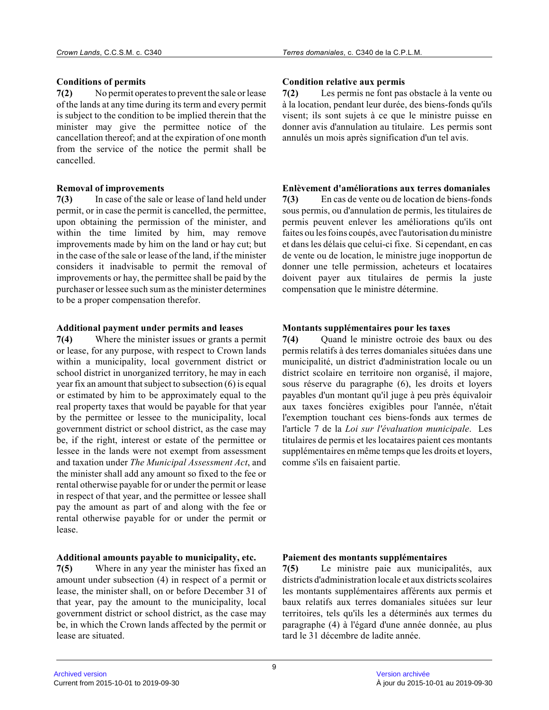# **Conditions of permits**

**7(2)** No permit operates to prevent the sale or lease of the lands at any time during its term and every permit is subject to the condition to be implied therein that the minister may give the permittee notice of the cancellation thereof; and at the expiration of one month from the service of the notice the permit shall be cancelled.

#### **Removal of improvements**

**7(3)** In case of the sale or lease of land held under permit, or in case the permit is cancelled, the permittee, upon obtaining the permission of the minister, and within the time limited by him, may remove improvements made by him on the land or hay cut; but in the case of the sale or lease of the land, if the minister considers it inadvisable to permit the removal of improvements or hay, the permittee shall be paid by the purchaser or lessee such sum as the minister determines to be a proper compensation therefor.

#### **Additional payment under permits and leases**

**7(4)** Where the minister issues or grants a permit or lease, for any purpose, with respect to Crown lands within a municipality, local government district or school district in unorganized territory, he may in each year fix an amount that subject to subsection (6) is equal or estimated by him to be approximately equal to th e real property taxes that would be payable for that year by the permittee or lessee to the municipality, local government district or school district, as the case may be, if the right, interest or estate of the permittee or lessee in the lands were not exempt from assessment and taxation under *The Municipal Assessment Act*, and the minister shall add any amount so fixed to the fee or rental otherwise payable for or under the permit or lease in respect of that year, and the permittee or lessee shall pay the amount as part of and along with the fee or rental otherwise payable for or under the permit or lease.

# **Additional amounts payable to municipality, etc.**

**7(5)** Where in any year the minister has fixed an amount under subsection (4) in respect of a permit or lease, the minister shall, on or before December 31 of that year, pay the amount to the municipality, loca l government district or school district, as the case may be, in which the Crown lands affected by the permit or lease are situated.

# **Condition relative aux permis**

**7(2)** Les permis ne font pas obstacle à la vente ou à la location, pendant leur durée, des biens-fonds qu'ils visent; ils sont sujets à ce que le ministre puisse en donner avis d'annulation au titulaire. Les permis sont annulés un mois après signification d'un tel avis.

#### **Enlèvement d'améliorations aux terres domaniales**

**7(3)** En cas de vente ou de location de biens-fonds sous permis, ou d'annulation de permis, les titulaires de permis peuvent enlever les améliorations qu'ils ont faites ou les foins coupés, avec l'autorisation du ministre et dans les délais que celui-ci fixe. Si cependant, en cas de vente ou de location, le ministre juge inopportun de donner une telle permission, acheteurs et locataire s doivent payer aux titulaires de permis la juste compensation que le ministre détermine.

#### **Montants supplémentaires pour les taxes**

**7(4)** Ouand le ministre octroie des baux ou des permis relatifs à des terres domaniales situées dans une municipalité, un district d'administration locale ou un district scolaire en territoire non organisé, il majore, sous réserve du paragraphe (6), les droits et loyers payables d'un montant qu'il juge à peu près équivaloir aux taxes foncières exigibles pour l'année, n'était l'exemption touchant ces biens-fonds aux termes de l'article 7 de la *Loi sur l'évaluation municipale*. Les titulaires de permis et les locataires paient ces montants supplémentaires en même temps que les droits et loyers, comme s'ils en faisaient partie.

# **Paiement des montants supplémentaires**

**7(5)** Le ministre paie aux municipalités, aux districts d'administration locale et aux districts scolaires les montants supplémentaires afférents aux permis e t baux relatifs aux terres domaniales situées sur leu r territoires, tels qu'ils les a déterminés aux termes du paragraphe (4) à l'égard d'une année donnée, au plu s tard le 31 décembre de ladite année.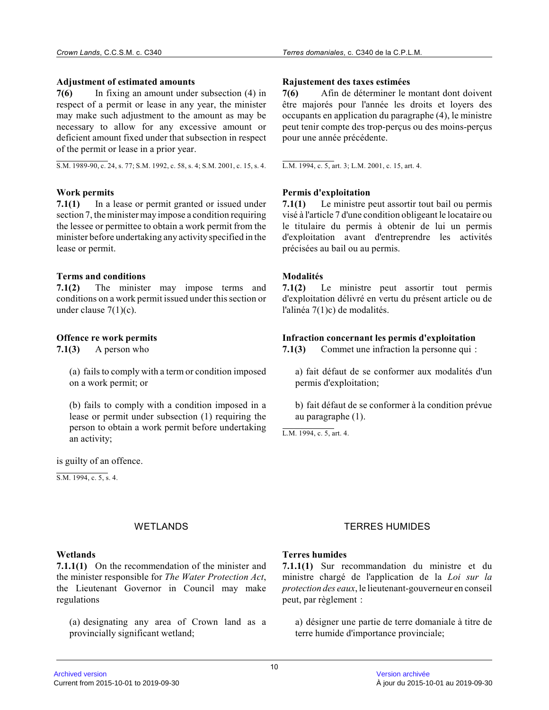#### **Adjustment of estimated amounts**

**7(6)** In fixing an amount under subsection (4) in respect of a permit or lease in any year, the minister may make such adjustment to the amount as may be necessary to allow for any excessive amount or deficient amount fixed under that subsection in respect of the permit or lease in a prior year.

S.M. 1989-90, c. 24, s. 77; S.M. 1992, c. 58, s. 4; S.M. 2001, c. 15, s. 4.

#### **Work permits**

**7.1(1)** In a lease or permit granted or issued under section 7, the minister may impose a condition requiring the lessee or permittee to obtain a work permit from the minister before undertaking any activity specified in the lease or permit.

#### **Terms and conditions**

**7.1(2)** The minister may impose terms and conditions on a work permit issued under this section or under clause  $7(1)(c)$ .

#### **Offence re work permits**

**7.1(3)** A person who

(a) fails to comply with a term or condition imposed on a work permit; or

(b) fails to comply with a condition imposed in a lease or permit under subsection (1) requiring the person to obtain a work permit before undertaking an activity;

is guilty of an offence.

 $S.M. 1994, c. 5, s. 4.$ 

#### **Wetlands**

**7.1.1(1)** On the recommendation of the minister and the minister responsible for *The Water Protection Act* , the Lieutenant Governor in Council may make regulations

(a) designating any area of Crown land as a provincially significant wetland;

#### **Rajustement des taxes estimées**

**7(6)** Afin de déterminer le montant dont doivent être majorés pour l'année les droits et loyers des occupants en application du paragraphe (4), le ministre peut tenir compte des trop-perçus ou des moins-perçus pour une année précédente.

L.M. 1994, c. 5, art. 3; L.M. 2001, c. 15, art. 4.

#### **Permis d'exploitation**

**7.1(1)** Le ministre peut assortir tout bail ou permis visé à l'article 7 d'une condition obligeant le locataire ou le titulaire du permis à obtenir de lui un permis d'exploitation avant d'entreprendre les activités précisées au bail ou au permis.

#### **Modalités**

**7.1(2)** Le ministre peut assortir tout permis d'exploitation délivré en vertu du présent article ou de l'alinéa 7(1)c) de modalités.

#### **Infraction concernant les permis d'exploitation**

**7.1(3)** Commet une infraction la personne qui :

a) fait défaut de se conformer aux modalités d'un permis d'exploitation;

b) fait défaut de se conformer à la condition prévue au paragraphe (1).

L.M. 1994, c. 5, art. 4.

# WETLANDS TERRES HUMIDES

# **Terres humides**

**7.1.1(1)** Sur recommandation du ministre et du ministre chargé de l'application de la *Loi sur la protection des eaux*, le lieutenant-gouverneur en conseil peut, par règlement :

a) désigner une partie de terre domaniale à titre de terre humide d'importance provinciale;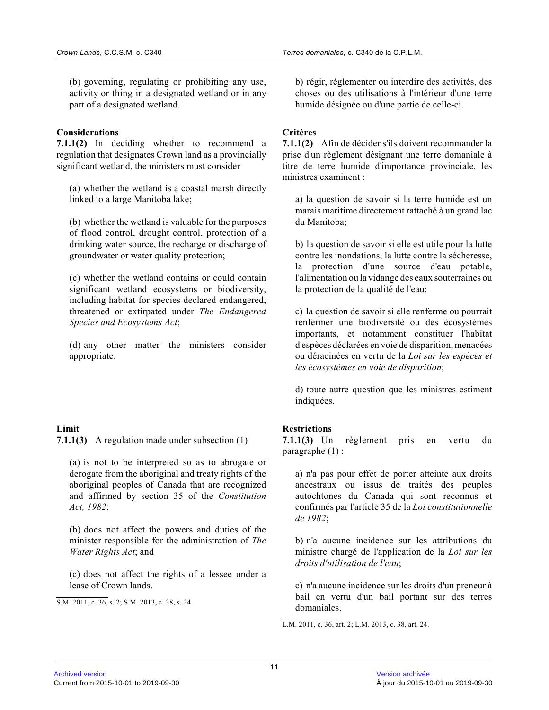(b) governing, regulating or prohibiting any use, activity or thing in a designated wetland or in any part of a designated wetland.

#### **Considerations**

**7.1.1(2)** In deciding whether to recommend a regulation that designates Crown land as a provincially significant wetland, the ministers must consider

(a) whether the wetland is a coastal marsh directly linked to a large Manitoba lake;

(b) whether the wetland is valuable for the purposes of flood control, drought control, protection of a drinking water source, the recharge or discharge of groundwater or water quality protection;

(c) whether the wetland contains or could contain significant wetland ecosystems or biodiversity, including habitat for species declared endangered, threatened or extirpated under *The Endangered Species and Ecosystems Act* ;

(d) any other matter the ministers consider appropriate.

# **Limit**

**7.1.1(3)** A regulation made under subsection (1)

(a) is not to be interpreted so as to abrogate or derogate from the aboriginal and treaty rights of the aboriginal peoples of Canada that are recognized and affirmed by section 35 of the *Constitution Act, 1982* ;

(b) does not affect the powers and duties of the minister responsible for the administration of *The Water Rights Act*; and

(c) does not affect the rights of a lessee under a lease of Crown lands.

S.M. 2011, c. 36, s. 2; S.M. 2013, c. 38, s. 24.

b) régir, réglementer ou interdire des activités, des choses ou des utilisations à l'intérieur d'une terr e humide désignée ou d'une partie de celle-ci.

# **Critères**

**7.1.1(2)** Afin de décider s'ils doivent recommander la prise d'un règlement désignant une terre domaniale à titre de terre humide d'importance provinciale, les ministres examinent :

a) la question de savoir si la terre humide est un marais maritime directement rattaché à un grand lac du Manitoba;

b) la question de savoir si elle est utile pour la lutte contre les inondations, la lutte contre la sécheresse, la protection d'une source d'eau potable, l'alimentation ou la vidange des eaux souterraines o u la protection de la qualité de l'eau;

c) la question de savoir si elle renferme ou pourrait renfermer une biodiversité ou des écosystèmes importants, et notamment constituer l'habitat d'espèces déclarées en voie de disparition, menacées ou déracinées en vertu de la *Loi sur les espèces et les écosystèmes en voie de disparition* ;

d) toute autre question que les ministres estiment indiquées.

# **Restrictions**

**7.1.1(3)** Un règlement pris en vertu du paragraphe (1) :

a) n'a pas pour effet de porter atteinte aux droits ancestraux ou issus de traités des peuples autochtones du Canada qui sont reconnus et confirmés par l'article 35 de la *Loi constitutionnelle de 1982* ;

b) n'a aucune incidence sur les attributions du ministre chargé de l'application de la *Loi sur les droits d'utilisation de l'eau* ;

c) n'a aucune incidence sur les droits d'un preneur à bail en vertu d'un bail portant sur des terres domaniales.

L.M. 2011, c. 36, art. 2; L.M. 2013, c. 38, art. 24 .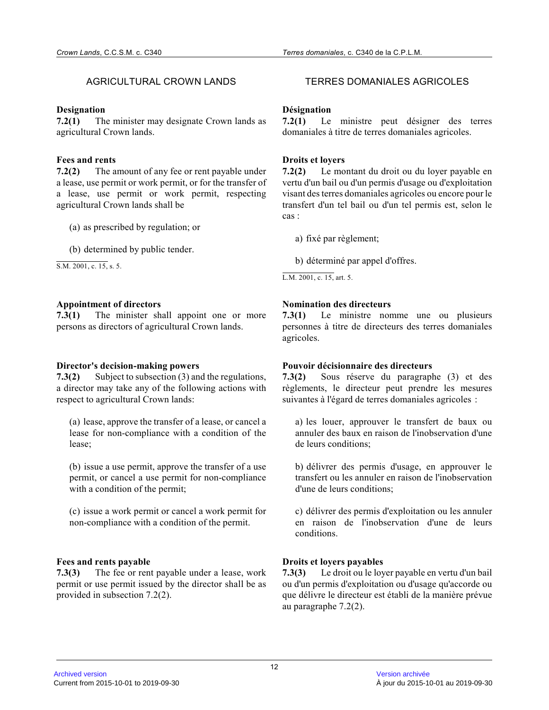#### **Designation**

**7.2(1)** The minister may designate Crown lands as agricultural Crown lands.

# **Fees and rents**

**7.2(2)** The amount of any fee or rent payable under a lease, use permit or work permit, or for the transfer of a lease, use permit or work permit, respecting agricultural Crown lands shall be

(a) as prescribed by regulation; or

(b) determined by public tender.

S.M. 2001, c. 15, s. 5.

# **Appointment of directors**

**7.3(1)** The minister shall appoint one or more persons as directors of agricultural Crown lands.

#### **Director's decision-making powers**

**7.3(2)** Subject to subsection (3) and the regulations, a director may take any of the following actions with respect to agricultural Crown lands:

(a) lease, approve the transfer of a lease, or cancel a lease for non-compliance with a condition of the lease;

(b) issue a use permit, approve the transfer of a use permit, or cancel a use permit for non-compliance with a condition of the permit;

(c) issue a work permit or cancel a work permit for non-compliance with a condition of the permit.

# **Fees and rents payable**

**7.3(3)** The fee or rent payable under a lease, work permit or use permit issued by the director shall be as provided in subsection 7.2(2).

# AGRICULTURAL CROWN LANDS TERRES DOMANIALES AGRICOLES

#### **Désignation**

**7.2(1)** Le ministre peut désigner des terres domaniales à titre de terres domaniales agricoles.

#### **Droits et loyers**

**7.2(2)** Le montant du droit ou du loyer payable en vertu d'un bail ou d'un permis d'usage ou d'exploitation visant des terres domaniales agricoles ou encore pour le transfert d'un tel bail ou d'un tel permis est, selon le cas :

a) fixé par règlement;

b) déterminé par appel d'offres.

L.M. 2001, c. 15, art. 5.

# **Nomination des directeurs**

**7.3(1)** Le ministre nomme une ou plusieurs personnes à titre de directeurs des terres domaniales agricoles.

# **Pouvoir décisionnaire des directeurs**

**7.3(2)** Sous réserve du paragraphe (3) et des règlements, le directeur peut prendre les mesures suivantes à l'égard de terres domaniales agricoles :

a) les louer, approuver le transfert de baux ou annuler des baux en raison de l'inobservation d'une de leurs conditions;

b) délivrer des permis d'usage, en approuver le transfert ou les annuler en raison de l'inobservation d'une de leurs conditions;

c) délivrer des permis d'exploitation ou les annuler en raison de l'inobservation d'une de leurs conditions.

# **Droits et loyers payables**

**7.3(3)** Le droit ou le loyer payable en vertu d'un bail ou d'un permis d'exploitation ou d'usage qu'accorde ou que délivre le directeur est établi de la manière prévue au paragraphe 7.2(2).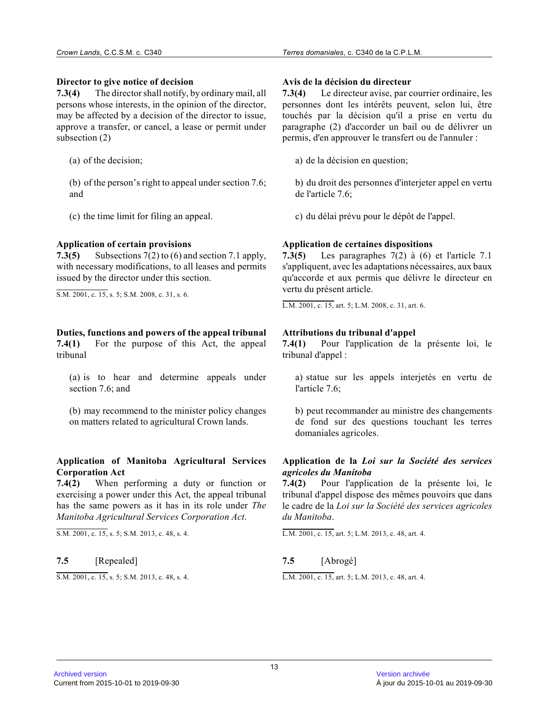#### **Director to give notice of decision**

**7.3(4)** The director shall notify, by ordinary mail, all persons whose interests, in the opinion of the director , may be affected by a decision of the director to issue, approve a transfer, or cancel, a lease or permit under subsection (2)

(a) of the decision;

(b) of the person's right to appeal under section 7.6; and

(c) the time limit for filing an appeal.

# **Application of certain provisions**

**7.3(5)** Subsections 7(2) to (6) and section 7.1 apply, with necessary modifications, to all leases and permits issued by the director under this section.

S.M. 2001, c. 15, s. 5; S.M. 2008, c. 31, s. 6.

### **Duties, functions and powers of the appeal tribunal 7.4(1)** For the purpose of this Act, the appeal tribunal

(a) is to hear and determine appeals under section 7.6; and

(b) may recommend to the minister policy changes on matters related to agricultural Crown lands.

# **Application of Manitoba Agricultural Services Corporation Act**

**7.4(2)** When performing a duty or function or exercising a power under this Act, the appeal tribunal has the same powers as it has in its role under *The Manitoba Agricultural Services Corporation Act* .

S.M. 2001, c. 15, s. 5; S.M. 2013, c. 48, s. 4.

#### **7.5** [Repealed]

S.M. 2001, c. 15, s. 5; S.M. 2013, c. 48, s. 4.

#### **Avis de la décision du directeur**

**7.3(4)** Le directeur avise, par courrier ordinaire, les personnes dont les intérêts peuvent, selon lui, être touchés par la décision qu'il a prise en vertu du paragraphe (2) d'accorder un bail ou de délivrer un permis, d'en approuver le transfert ou de l'annuler :

a) de la décision en question;

b) du droit des personnes d'interjeter appel en vertu de l'article 7.6;

c) du délai prévu pour le dépôt de l'appel.

# **Application de certaines dispositions**

**7.3(5)** Les paragraphes 7(2) à (6) et l'article 7.1 s'appliquent, avec les adaptations nécessaires, aux baux qu'accorde et aux permis que délivre le directeur en vertu du présent article.

L.M. 2001, c. 15, art. 5; L.M. 2008, c. 31, art. 6.

# **Attributions du tribunal d'appel**

**7.4(1)** Pour l'application de la présente loi, le tribunal d'appel :

a) statue sur les appels interjetés en vertu de l'article 7.6;

b) peut recommander au ministre des changements de fond sur des questions touchant les terres domaniales agricoles.

#### **Application de la** *Loi sur la Société des services agricoles du Manitoba*

**7.4(2)** Pour l'application de la présente loi, le tribunal d'appel dispose des mêmes pouvoirs que dans le cadre de la *Loi sur la Société des services agricoles du Manitoba* .

L.M. 2001, c. 15, art. 5; L.M. 2013, c. 48, art. 4.

# **7.5** [Abrogé]

L.M. 2001, c. 15, art. 5; L.M. 2013, c. 48, art. 4.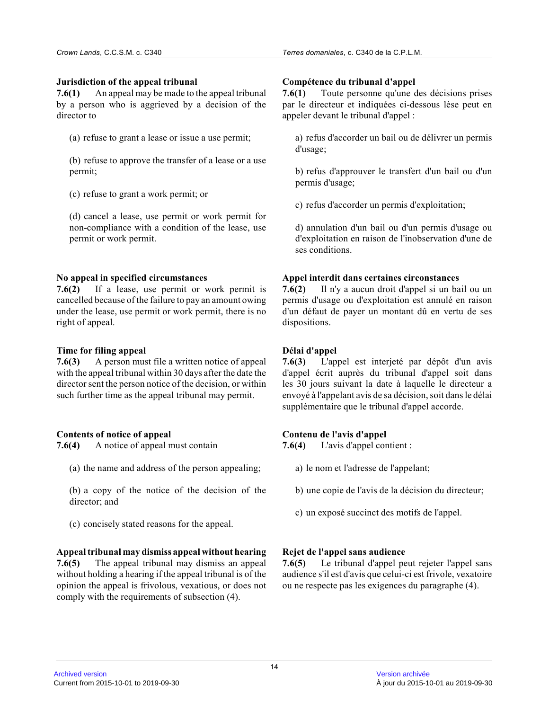#### **Jurisdiction of the appeal tribunal**

**7.6(1)** An appeal may be made to the appeal tribunal by a person who is aggrieved by a decision of the director to

(a) refuse to grant a lease or issue a use permit;

(b) refuse to approve the transfer of a lease or a us e permit;

(c) refuse to grant a work permit; or

(d) cancel a lease, use permit or work permit for non-compliance with a condition of the lease, use permit or work permit.

#### **No appeal in specified circumstances**

**7.6(2)** If a lease, use permit or work permit is cancelled because of the failure to pay an amount owing under the lease, use permit or work permit, there is no right of appeal.

# **Time for filing appeal**

**7.6(3)** A person must file a written notice of appeal with the appeal tribunal within 30 days after the date the director sent the person notice of the decision, or within such further time as the appeal tribunal may permit .

#### **Contents of notice of appeal**

**7.6(4)** A notice of appeal must contain

- (a) the name and address of the person appealing;
- (b) a copy of the notice of the decision of the director; and
- (c) concisely stated reasons for the appeal.

comply with the requirements of subsection (4).

#### **Appeal tribunal may dismiss appeal without hearing 7.6(5)** The appeal tribunal may dismiss an appeal without holding a hearing if the appeal tribunal is of the opinion the appeal is frivolous, vexatious, or does not

### **Compétence du tribunal d'appel**

**7.6(1)** Toute personne qu'une des décisions prises par le directeur et indiquées ci-dessous lèse peut en appeler devant le tribunal d'appel :

a) refus d'accorder un bail ou de délivrer un permis d'usage;

b) refus d'approuver le transfert d'un bail ou d'un permis d'usage;

c) refus d'accorder un permis d'exploitation;

d) annulation d'un bail ou d'un permis d'usage ou d'exploitation en raison de l'inobservation d'une de ses conditions.

#### **Appel interdit dans certaines circonstances**

**7.6(2)** Il n'y a aucun droit d'appel si un bail ou un permis d'usage ou d'exploitation est annulé en raison d'un défaut de payer un montant dû en vertu de ses dispositions.

# **Délai d'appel**

**7.6(3)** L'appel est interjeté par dépôt d'un avis d'appel écrit auprès du tribunal d'appel soit dans les 30 jours suivant la date à laquelle le directeur a envoyé à l'appelant avis de sa décision, soit dans le délai supplémentaire que le tribunal d'appel accorde.

# **Contenu de l'avis d'appel**

**7.6(4)** L'avis d'appel contient :

- a) le nom et l'adresse de l'appelant;
- b) une copie de l'avis de la décision du directeur;
- c) un exposé succinct des motifs de l'appel.

# **Rejet de l'appel sans audience**

**7.6(5)** Le tribunal d'appel peut rejeter l'appel sans audience s'il est d'avis que celui-ci est frivole, vexatoire ou ne respecte pas les exigences du paragraphe (4).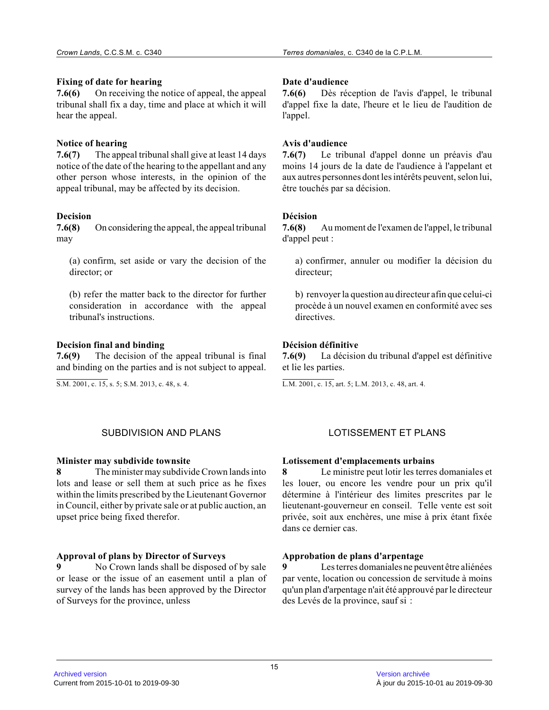# **Fixing of date for hearing**

**7.6(6)** On receiving the notice of appeal, the appeal tribunal shall fix a day, time and place at which it will hear the appeal.

# **Notice of hearing**

**7.6(7)** The appeal tribunal shall give at least 14 days notice of the date of the hearing to the appellant and any other person whose interests, in the opinion of the appeal tribunal, may be affected by its decision.

#### **Decision**

**7.6(8)** On considering the appeal, the appeal tribunal may

(a) confirm, set aside or vary the decision of the director; or

(b) refer the matter back to the director for furthe r consideration in accordance with the appeal tribunal's instructions.

#### **Decision final and binding**

**7.6(9)** The decision of the appeal tribunal is final and binding on the parties and is not subject to appeal.

S.M. 2001, c. 15, s. 5; S.M. 2013, c. 48, s. 4.

# SUBDIVISION AND PLANS LOTISSEMENT ET PLANS

#### **Minister may subdivide townsite**

**8** The minister may subdivide Crown lands into lots and lease or sell them at such price as he fixes within the limits prescribed by the Lieutenant Governor in Council, either by private sale or at public auction, an upset price being fixed therefor.

# **Approval of plans by Director of Surveys**

**9** No Crown lands shall be disposed of by sale or lease or the issue of an easement until a plan o f survey of the lands has been approved by the Director of Surveys for the province, unless

#### **Date d'audience**

**7.6(6)** Dès réception de l'avis d'appel, le tribunal d'appel fixe la date, l'heure et le lieu de l'audition de l'appel.

#### **Avis d'audience**

**7.6(7)** Le tribunal d'appel donne un préavis d'au moins 14 jours de la date de l'audience à l'appelant et aux autres personnes dont les intérêts peuvent, selon lui, être touchés par sa décision.

#### **Décision**

**7.6(8)** Au moment de l'examen de l'appel, le tribunal d'appel peut :

a) confirmer, annuler ou modifier la décision du directeur;

b) renvoyer la question au directeur afin que celui-c i procède à un nouvel examen en conformité avec ses directives.

# **Décision définitive**

**7.6(9)** La décision du tribunal d'appel est définitive et lie les parties.

L.M. 2001, c. 15, art. 5; L.M. 2013, c. 48, art. 4.

#### **Lotissement d'emplacements urbains**

**8** Le ministre peut lotir les terres domaniales et les louer, ou encore les vendre pour un prix qu'il détermine à l'intérieur des limites prescrites par le lieutenant-gouverneur en conseil. Telle vente est soit privée, soit aux enchères, une mise à prix étant fixée dans ce dernier cas.

#### **Approbation de plans d'arpentage**

Les terres domaniales ne peuvent être aliénées par vente, location ou concession de servitude à moins qu'un plan d'arpentage n'ait été approuvé par le directeur des Levés de la province, sauf si :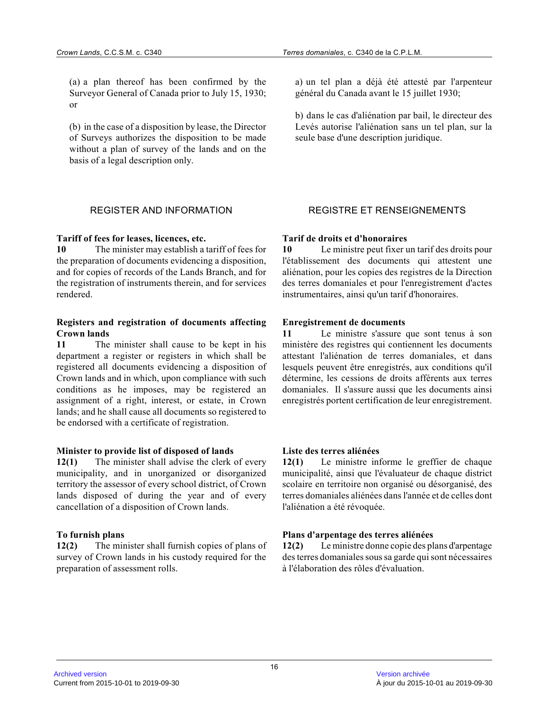(a) a plan thereof has been confirmed by the Surveyor General of Canada prior to July 15, 1930; or

(b) in the case of a disposition by lease, the Director of Surveys authorizes the disposition to be made without a plan of survey of the lands and on the basis of a legal description only.

#### **Tariff of fees for leases, licences, etc.**

**10** The minister may establish a tariff of fees for the preparation of documents evidencing a disposition, and for copies of records of the Lands Branch, and for the registration of instruments therein, and for services rendered.

#### **Registers and registration of documents affecting Crown lands**

**11** The minister shall cause to be kept in his department a register or registers in which shall b e registered all documents evidencing a disposition of Crown lands and in which, upon compliance with such conditions as he imposes, may be registered an assignment of a right, interest, or estate, in Crow n lands; and he shall cause all documents so registered to be endorsed with a certificate of registration.

#### **Minister to provide list of disposed of lands**

**12(1)** The minister shall advise the clerk of every municipality, and in unorganized or disorganized territory the assessor of every school district, of Crown lands disposed of during the year and of every cancellation of a disposition of Crown lands.

#### **To furnish plans**

**12(2)** The minister shall furnish copies of plans of survey of Crown lands in his custody required for th e preparation of assessment rolls.

a) un tel plan a déjà été attesté par l'arpenteur général du Canada avant le 15 juillet 1930;

b) dans le cas d'aliénation par bail, le directeur des Levés autorise l'aliénation sans un tel plan, sur la seule base d'une description juridique.

# REGISTER AND INFORMATION REGISTRE ET RENSEIGNEMENTS

#### **Tarif de droits et d'honoraires**

**10** Le ministre peut fixer un tarif des droits pour l'établissement des documents qui attestent une aliénation, pour les copies des registres de la Direction des terres domaniales et pour l'enregistrement d'actes instrumentaires, ainsi qu'un tarif d'honoraires.

#### **Enregistrement de documents**

**11** Le ministre s'assure que sont tenus à son ministère des registres qui contiennent les documents attestant l'aliénation de terres domaniales, et dan s lesquels peuvent être enregistrés, aux conditions qu'il détermine, les cessions de droits afférents aux terres domaniales. Il s'assure aussi que les documents ainsi enregistrés portent certification de leur enregistrement.

#### **Liste des terres aliénées**

**12(1)** Le ministre informe le greffier de chaque municipalité, ainsi que l'évaluateur de chaque district scolaire en territoire non organisé ou désorganisé, des terres domaniales aliénées dans l'année et de celles dont l'aliénation a été révoquée.

#### **Plans d'arpentage des terres aliénées**

**12(2)** Le ministre donne copie des plans d'arpentage des terres domaniales sous sa garde qui sont nécessaires à l'élaboration des rôles d'évaluation.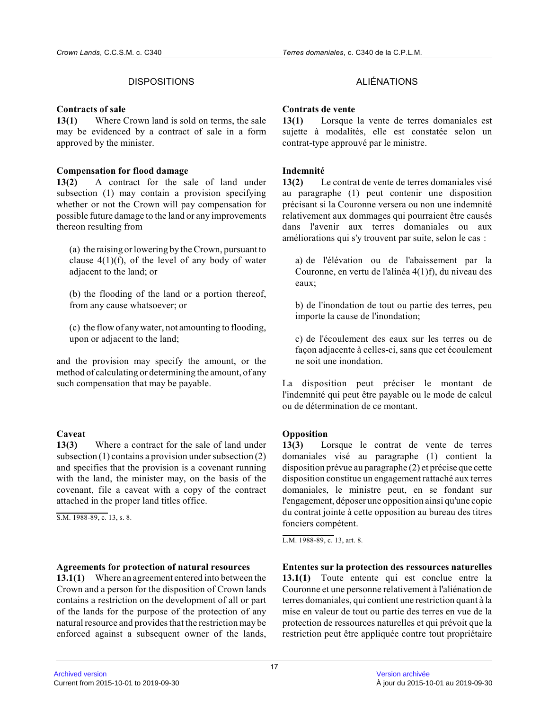#### **Contracts of sale**

**13(1)** Where Crown land is sold on terms, the sale may be evidenced by a contract of sale in a form approved by the minister.

#### **Compensation for flood damage**

**13(2)** A contract for the sale of land under subsection (1) may contain a provision specifying whether or not the Crown will pay compensation for possible future damage to the land or any improvements thereon resulting from

(a) the raising or lowering by the Crown, pursuant t o clause  $4(1)(f)$ , of the level of any body of water adjacent to the land; or

(b) the flooding of the land or a portion thereof, from any cause whatsoever; or

(c) the flow of any water, not amounting to flooding , upon or adjacent to the land;

and the provision may specify the amount, or the method of calculating or determining the amount, of any such compensation that may be payable.

# **Caveat**

**13(3)** Where a contract for the sale of land under subsection (1) contains a provision under subsection (2) and specifies that the provision is a covenant runnin g with the land, the minister may, on the basis of th e covenant, file a caveat with a copy of the contract attached in the proper land titles office.

S.M. 1988-89, c. 13, s. 8.

#### **Agreements for protection of natural resources**

**13.1(1)** Where an agreement entered into between the Crown and a person for the disposition of Crown lands contains a restriction on the development of all or part of the lands for the purpose of the protection of any natural resource and provides that the restriction may be enforced against a subsequent owner of the lands,

# DISPOSITIONS ALIÉNATIONS

#### **Contrats de vente**

**13(1)** Lorsque la vente de terres domaniales est sujette à modalités, elle est constatée selon un contrat-type approuvé par le ministre.

# **Indemnité**

**13(2)** Le contrat de vente de terres domaniales visé au paragraphe (1) peut contenir une disposition précisant si la Couronne versera ou non une indemnité relativement aux dommages qui pourraient être causés dans l'avenir aux terres domaniales ou aux améliorations qui s'y trouvent par suite, selon le cas :

a) de l'élévation ou de l'abaissement par la Couronne, en vertu de l'alinéa 4(1)f), du niveau des eaux;

b) de l'inondation de tout ou partie des terres, peu importe la cause de l'inondation;

c) de l'écoulement des eaux sur les terres ou de façon adjacente à celles-ci, sans que cet écoulemen t ne soit une inondation.

La disposition peut préciser le montant de l'indemnité qui peut être payable ou le mode de calcul ou de détermination de ce montant.

# **Opposition**

**13(3)** Lorsque le contrat de vente de terres domaniales visé au paragraphe (1) contient la disposition prévue au paragraphe (2) et précise que cette disposition constitue un engagement rattaché aux terres domaniales, le ministre peut, en se fondant sur l'engagement, déposer une opposition ainsi qu'une copie du contrat jointe à cette opposition au bureau des titres fonciers compétent.

L.M. 1988-89, c. 13, art. 8.

**Ententes sur la protection des ressources naturelle s 13.1(1)** Toute entente qui est conclue entre la Couronne et une personne relativement à l'aliénation de terres domaniales, qui contient une restriction quant à la mise en valeur de tout ou partie des terres en vue de la protection de ressources naturelles et qui prévoit que la restriction peut être appliquée contre tout propriétaire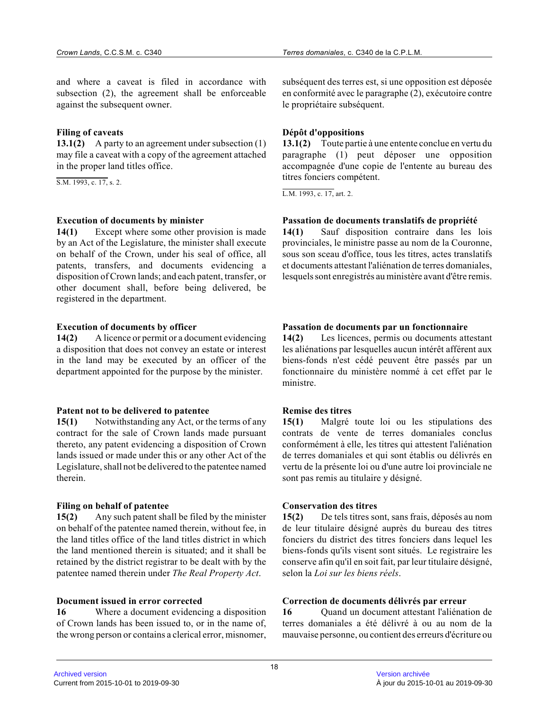and where a caveat is filed in accordance with subsection (2), the agreement shall be enforceable against the subsequent owner.

#### **Filing of caveats**

**13.1(2)** A party to an agreement under subsection (1) may file a caveat with a copy of the agreement attached in the proper land titles office.

S.M. 1993, c. 17, s. 2.

#### **Execution of documents by minister**

**14(1)** Except where some other provision is made by an Act of the Legislature, the minister shall execute on behalf of the Crown, under his seal of office, all patents, transfers, and documents evidencing a disposition of Crown lands; and each patent, transfer, or other document shall, before being delivered, be registered in the department.

#### **Execution of documents by officer**

**14(2)** A licence or permit or a document evidencing a disposition that does not convey an estate or interest in the land may be executed by an officer of the department appointed for the purpose by the minister.

#### **Patent not to be delivered to patentee**

**15(1)** Notwithstanding any Act, or the terms of any contract for the sale of Crown lands made pursuant thereto, any patent evidencing a disposition of Crown lands issued or made under this or any other Act of the Legislature, shall not be delivered to the patentee named therein.

#### **Filing on behalf of patentee**

**15(2)** Any such patent shall be filed by the minister on behalf of the patentee named therein, without fee, in the land titles office of the land titles district in which the land mentioned therein is situated; and it shall be retained by the district registrar to be dealt with by the patentee named therein under *The Real Property Act* .

#### **Document issued in error corrected**

**16** Where a document evidencing a disposition of Crown lands has been issued to, or in the name of, the wrong person or contains a clerical error, misnomer, subséquent des terres est, si une opposition est déposée en conformité avec le paragraphe (2), exécutoire contre le propriétaire subséquent.

# **Dépôt d'oppositions**

**13.1(2)** Toute partie à une entente conclue en vertu du paragraphe (1) peut déposer une opposition accompagnée d'une copie de l'entente au bureau des titres fonciers compétent.

L.M. 1993, c. 17, art. 2.

#### **Passation de documents translatifs de propriété**

**14(1)** Sauf disposition contraire dans les lois provinciales, le ministre passe au nom de la Couronne, sous son sceau d'office, tous les titres, actes translatifs et documents attestant l'aliénation de terres domaniales, lesquels sont enregistrés au ministère avant d'être remis.

#### **Passation de documents par un fonctionnaire**

**14(2)** Les licences, permis ou documents attestant les aliénations par lesquelles aucun intérêt afférent aux biens-fonds n'est cédé peuvent être passés par un fonctionnaire du ministère nommé à cet effet par le ministre.

#### **Remise des titres**

**15(1)** Malgré toute loi ou les stipulations des contrats de vente de terres domaniales conclus conformément à elle, les titres qui attestent l'aliénation de terres domaniales et qui sont établis ou délivrés en vertu de la présente loi ou d'une autre loi provinciale ne sont pas remis au titulaire y désigné.

#### **Conservation des titres**

**15(2)** De tels titres sont, sans frais, déposés au nom de leur titulaire désigné auprès du bureau des titres fonciers du district des titres fonciers dans lequel les biens-fonds qu'ils visent sont situés. Le registraire les conserve afin qu'il en soit fait, par leur titulaire désigné, selon la *Loi sur les biens réels* .

#### **Correction de documents délivrés par erreur**

**16** Quand un document attestant l'aliénation de terres domaniales a été délivré à ou au nom de la mauvaise personne, ou contient des erreurs d'écriture ou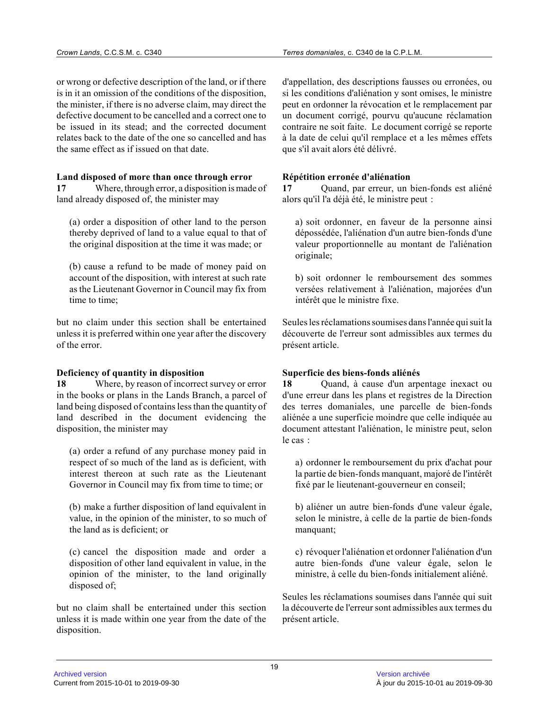or wrong or defective description of the land, or if there is in it an omission of the conditions of the disposition, the minister, if there is no adverse claim, may direct the defective document to be cancelled and a correct one to be issued in its stead; and the corrected document relates back to the date of the one so cancelled and has the same effect as if issued on that date.

#### **Land disposed of more than once through error**

**17** Where, through error, a disposition is made of land already disposed of, the minister may

(a) order a disposition of other land to the person thereby deprived of land to a value equal to that of the original disposition at the time it was made; o r

(b) cause a refund to be made of money paid on account of the disposition, with interest at such rate as the Lieutenant Governor in Council may fix from time to time;

but no claim under this section shall be entertaine d unless it is preferred within one year after the discovery of the error.

#### **Deficiency of quantity in disposition**

**18** Where, by reason of incorrect survey or error in the books or plans in the Lands Branch, a parcel of land being disposed of contains less than the quantity of land described in the document evidencing the disposition, the minister may

(a) order a refund of any purchase money paid in respect of so much of the land as is deficient, wit h interest thereon at such rate as the Lieutenant Governor in Council may fix from time to time; or

(b) make a further disposition of land equivalent in value, in the opinion of the minister, to so much of the land as is deficient; or

(c) cancel the disposition made and order a disposition of other land equivalent in value, in the opinion of the minister, to the land originally disposed of;

but no claim shall be entertained under this sectio n unless it is made within one year from the date of the disposition.

d'appellation, des descriptions fausses ou erronées, ou si les conditions d'aliénation y sont omises, le ministre peut en ordonner la révocation et le remplacement par un document corrigé, pourvu qu'aucune réclamation contraire ne soit faite. Le document corrigé se reporte à la date de celui qu'il remplace et a les mêmes effets que s'il avait alors été délivré.

#### **Répétition erronée d'aliénation**

**17** Quand, par erreur, un bien-fonds est aliéné alors qu'il l'a déjà été, le ministre peut :

a) soit ordonner, en faveur de la personne ainsi dépossédée, l'aliénation d'un autre bien-fonds d'un e valeur proportionnelle au montant de l'aliénation originale;

b) soit ordonner le remboursement des sommes versées relativement à l'aliénation, majorées d'un intérêt que le ministre fixe.

Seules les réclamations soumises dans l'année qui suit la découverte de l'erreur sont admissibles aux termes d u présent article.

# **Superficie des biens-fonds aliénés**

**18** Quand, à cause d'un arpentage inexact ou d'une erreur dans les plans et registres de la Direction des terres domaniales, une parcelle de bien-fonds aliénée a une superficie moindre que celle indiquée au document attestant l'aliénation, le ministre peut, selon le cas :

a) ordonner le remboursement du prix d'achat pour la partie de bien-fonds manquant, majoré de l'intérêt fixé par le lieutenant-gouverneur en conseil;

b) aliéner un autre bien-fonds d'une valeur égale, selon le ministre, à celle de la partie de bien-fonds manquant;

c) révoquer l'aliénation et ordonner l'aliénation d'u n autre bien-fonds d'une valeur égale, selon le ministre, à celle du bien-fonds initialement aliéné .

Seules les réclamations soumises dans l'année qui suit la découverte de l'erreur sont admissibles aux termes du présent article.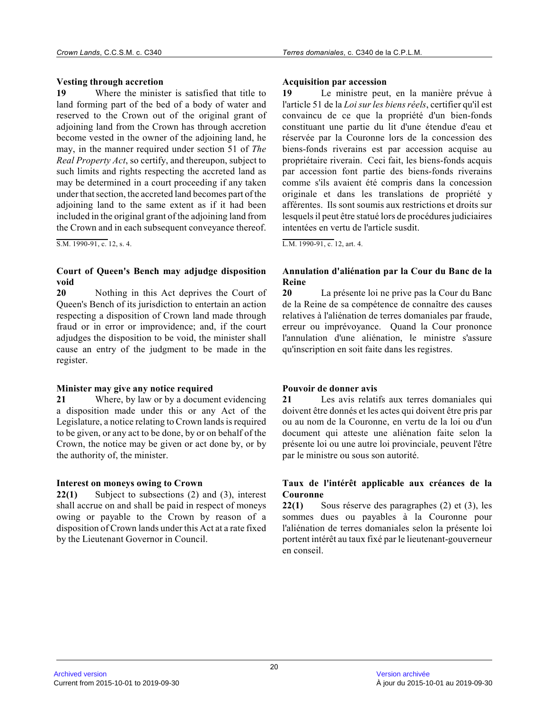#### **Vesting through accretion**

**19** Where the minister is satisfied that title to land forming part of the bed of a body of water and reserved to the Crown out of the original grant of adjoining land from the Crown has through accretion become vested in the owner of the adjoining land, he may, in the manner required under section 51 of *The Real Property Act*, so certify, and thereupon, subject to such limits and rights respecting the accreted land as may be determined in a court proceeding if any take n under that section, the accreted land becomes part of the adjoining land to the same extent as if it had been included in the original grant of the adjoining land from the Crown and in each subsequent conveyance thereof.

 $\overline{S.M. 1990-91, c. 12, s. 4.}$ 

# **Court of Queen's Bench may adjudge disposition void**

**20** Nothing in this Act deprives the Court of Queen's Bench of its jurisdiction to entertain an action respecting a disposition of Crown land made through fraud or in error or improvidence; and, if the court adjudges the disposition to be void, the minister shall cause an entry of the judgment to be made in the register.

#### **Minister may give any notice required**

**21** Where, by law or by a document evidencing a disposition made under this or any Act of the Legislature, a notice relating to Crown lands is required to be given, or any act to be done, by or on behalf of the Crown, the notice may be given or act done by, or by the authority of, the minister.

# **Interest on moneys owing to Crown**

**22(1)** Subject to subsections (2) and (3), interest shall accrue on and shall be paid in respect of moneys owing or payable to the Crown by reason of a disposition of Crown lands under this Act at a rate fixed by the Lieutenant Governor in Council.

#### **Acquisition par accession**

**19** Le ministre peut, en la manière prévue à l'article 51 de la *Loi sur les biens réels*, certifier qu'il est convaincu de ce que la propriété d'un bien-fonds constituant une partie du lit d'une étendue d'eau e t réservée par la Couronne lors de la concession des biens-fonds riverains est par accession acquise au propriétaire riverain. Ceci fait, les biens-fonds acquis par accession font partie des biens-fonds riverains comme s'ils avaient été compris dans la concession originale et dans les translations de propriété y afférentes. Ils sont soumis aux restrictions et droits sur lesquels il peut être statué lors de procédures judiciaires intentées en vertu de l'article susdit.

L.M. 1990-91, c. 12, art. 4.

# **Annulation d'aliénation par la Cour du Banc de la Reine**

**20** La présente loi ne prive pas la Cour du Banc de la Reine de sa compétence de connaître des cause s relatives à l'aliénation de terres domaniales par fraude, erreur ou imprévoyance. Quand la Cour prononce l'annulation d'une aliénation, le ministre s'assure qu'inscription en soit faite dans les registres.

# **Pouvoir de donner avis**

**21** Les avis relatifs aux terres domaniales qui doivent être donnés et les actes qui doivent être pris par ou au nom de la Couronne, en vertu de la loi ou d'u n document qui atteste une aliénation faite selon la présente loi ou une autre loi provinciale, peuvent l'être par le ministre ou sous son autorité.

# **Taux de l'intérêt applicable aux créances de la Couronne**

**22(1)** Sous réserve des paragraphes (2) et (3), les sommes dues ou payables à la Couronne pour l'aliénation de terres domaniales selon la présente loi portent intérêt au taux fixé par le lieutenant-gouverneur en conseil.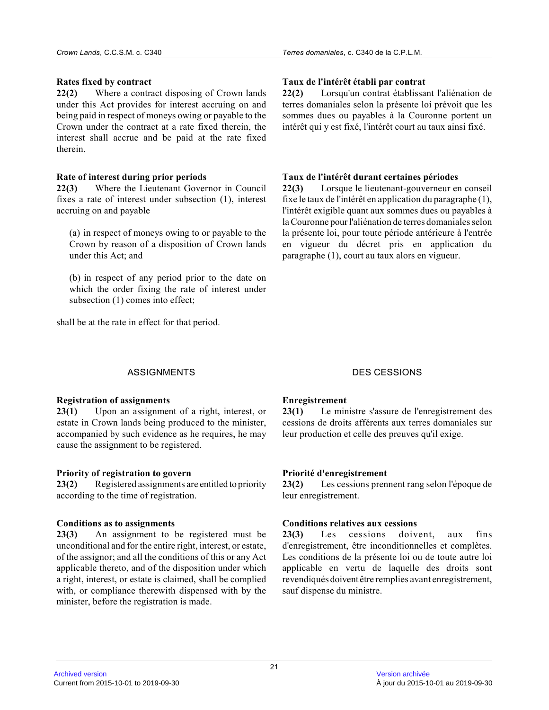# **Rates fixed by contract**

**22(2)** Where a contract disposing of Crown lands under this Act provides for interest accruing on an d being paid in respect of moneys owing or payable to the Crown under the contract at a rate fixed therein, the interest shall accrue and be paid at the rate fixed therein.

# **Rate of interest during prior periods**

**22(3)** Where the Lieutenant Governor in Council fixes a rate of interest under subsection (1), interest accruing on and payable

(a) in respect of moneys owing to or payable to the Crown by reason of a disposition of Crown lands under this Act; and

(b) in respect of any period prior to the date on which the order fixing the rate of interest under subsection (1) comes into effect;

shall be at the rate in effect for that period.

# **Taux de l'intérêt établi par contrat**

**22(2)** Lorsqu'un contrat établissant l'aliénation de terres domaniales selon la présente loi prévoit que les sommes dues ou payables à la Couronne portent un intérêt qui y est fixé, l'intérêt court au taux ainsi fixé.

# **Taux de l'intérêt durant certaines périodes**

**22(3)** Lorsque le lieutenant-gouverneur en conseil fixe le taux de l'intérêt en application du paragraphe (1), l'intérêt exigible quant aux sommes dues ou payables à la Couronne pour l'aliénation de terres domaniales selon la présente loi, pour toute période antérieure à l'entrée en vigueur du décret pris en application du paragraphe (1), court au taux alors en vigueur.

# ASSIGNMENTS DES CESSIONS

# **Registration of assignments**

**23(1)** Upon an assignment of a right, interest, or estate in Crown lands being produced to the minister, accompanied by such evidence as he requires, he may cause the assignment to be registered.

# **Priority of registration to govern**

23(2) Registered assignments are entitled to priority according to the time of registration.

# **Conditions as to assignments**

**23(3)** An assignment to be registered must be unconditional and for the entire right, interest, or estate, of the assignor; and all the conditions of this or any Act applicable thereto, and of the disposition under which a right, interest, or estate is claimed, shall be complied with, or compliance therewith dispensed with by the minister, before the registration is made.

# **Enregistrement**

**23(1)** Le ministre s'assure de l'enregistrement des cessions de droits afférents aux terres domaniales sur leur production et celle des preuves qu'il exige.

# **Priorité d'enregistrement**

**23(2)** Les cessions prennent rang selon l'époque de leur enregistrement.

# **Conditions relatives aux cessions**

**23(3)** Les cessions doivent, aux fins d'enregistrement, être inconditionnelles et complètes. Les conditions de la présente loi ou de toute autre loi applicable en vertu de laquelle des droits sont revendiqués doivent être remplies avant enregistrement, sauf dispense du ministre.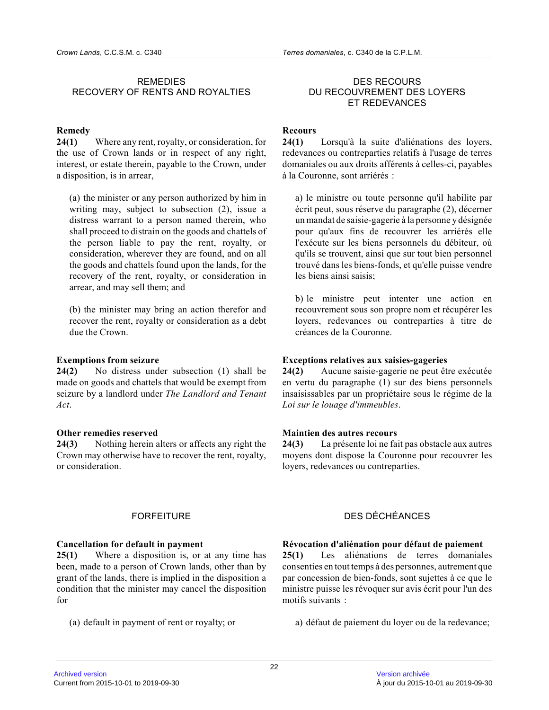# REMEDIES RECOVERY OF RENTS AND ROYALTIES

# **Remedy**

**24(1)** Where any rent, royalty, or consideration, for the use of Crown lands or in respect of any right, interest, or estate therein, payable to the Crown, under a disposition, is in arrear,

(a) the minister or any person authorized by him in writing may, subject to subsection (2), issue a distress warrant to a person named therein, who shall proceed to distrain on the goods and chattels of the person liable to pay the rent, royalty, or consideration, wherever they are found, and on all the goods and chattels found upon the lands, for th e recovery of the rent, royalty, or consideration in arrear, and may sell them; and

(b) the minister may bring an action therefor and recover the rent, royalty or consideration as a debt due the Crown.

#### **Exemptions from seizure**

**24(2)** No distress under subsection (1) shall be made on goods and chattels that would be exempt fro m seizure by a landlord under *The Landlord and Tenant Act* .

#### **Other remedies reserved**

**24(3)** Nothing herein alters or affects any right the Crown may otherwise have to recover the rent, royalty , or consideration.

#### **Cancellation for default in payment**

**25(1)** Where a disposition is, or at any time has been, made to a person of Crown lands, other than b y grant of the lands, there is implied in the disposition a condition that the minister may cancel the disposition for

(a) default in payment of rent or royalty; or

#### DES RECOURS DU RECOUVREMENT DES LOYERS ET REDEVANCES

# **Recours**

**24(1)** Lorsqu'à la suite d'aliénations des loyers, redevances ou contreparties relatifs à l'usage de terres domaniales ou aux droits afférents à celles-ci, payables à la Couronne, sont arriérés :

a) le ministre ou toute personne qu'il habilite par écrit peut, sous réserve du paragraphe (2), décerner un mandat de saisie-gagerie à la personne y désigné e pour qu'aux fins de recouvrer les arriérés elle l'exécute sur les biens personnels du débiteur, où qu'ils se trouvent, ainsi que sur tout bien personne l trouvé dans les biens-fonds, et qu'elle puisse vendre les biens ainsi saisis;

b) le ministre peut intenter une action en recouvrement sous son propre nom et récupérer les loyers, redevances ou contreparties à titre de créances de la Couronne.

# **Exceptions relatives aux saisies-gageries**

**24(2)** Aucune saisie-gagerie ne peut être exécutée en vertu du paragraphe (1) sur des biens personnels insaisissables par un propriétaire sous le régime de la *Loi sur le louage d'immeubles* .

# **Maintien des autres recours**

**24(3)** La présente loi ne fait pas obstacle aux autres moyens dont dispose la Couronne pour recouvrer les loyers, redevances ou contreparties.

# FORFEITURE DES DÉCHÉANCES

# **Révocation d'aliénation pour défaut de paiement**

**25(1)** Les aliénations de terres domaniales consenties en tout temps à des personnes, autrement que par concession de bien-fonds, sont sujettes à ce que le ministre puisse les révoquer sur avis écrit pour l'un des motifs suivants :

a) défaut de paiement du loyer ou de la redevance;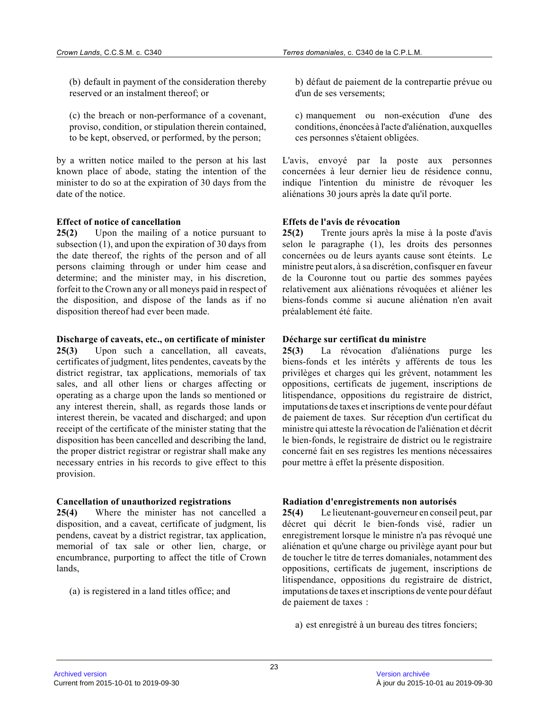(b) default in payment of the consideration thereby reserved or an instalment thereof; or

(c) the breach or non-performance of a covenant, proviso, condition, or stipulation therein contained , to be kept, observed, or performed, by the person;

by a written notice mailed to the person at his las t known place of abode, stating the intention of the minister to do so at the expiration of 30 days from the date of the notice.

# **Effect of notice of cancellation**

**25(2)** Upon the mailing of a notice pursuant to subsection (1), and upon the expiration of 30 days from the date thereof, the rights of the person and of all persons claiming through or under him cease and determine; and the minister may, in his discretion, forfeit to the Crown any or all moneys paid in respect of the disposition, and dispose of the lands as if no disposition thereof had ever been made.

#### **Discharge of caveats, etc., on certificate of minister**

**25(3)** Upon such a cancellation, all caveats, certificates of judgment, lites pendentes, caveats by the district registrar, tax applications, memorials of tax sales, and all other liens or charges affecting or operating as a charge upon the lands so mentioned o r any interest therein, shall, as regards those lands or interest therein, be vacated and discharged; and upo n receipt of the certificate of the minister stating that the disposition has been cancelled and describing the land, the proper district registrar or registrar shall make any necessary entries in his records to give effect to this provision.

#### **Cancellation of unauthorized registrations**

**25(4)** Where the minister has not cancelled a disposition, and a caveat, certificate of judgment, lis pendens, caveat by a district registrar, tax application, memorial of tax sale or other lien, charge, or encumbrance, purporting to affect the title of Crow n lands,

(a) is registered in a land titles office; and

b) défaut de paiement de la contrepartie prévue ou d'un de ses versements;

c) manquement ou non-exécution d'une des conditions, énoncées à l'acte d'aliénation, auxquelles ces personnes s'étaient obligées.

L'avis, envoyé par la poste aux personnes concernées à leur dernier lieu de résidence connu, indique l'intention du ministre de révoquer les aliénations 30 jours après la date qu'il porte.

# **Effets de l'avis de révocation**

**25(2)** Trente jours après la mise à la poste d'avis selon le paragraphe (1), les droits des personnes concernées ou de leurs ayants cause sont éteints. Le ministre peut alors, à sa discrétion, confisquer en faveur de la Couronne tout ou partie des sommes payées relativement aux aliénations révoquées et aliéner les biens-fonds comme si aucune aliénation n'en avait préalablement été faite.

# **Décharge sur certificat du ministre**

**25(3)** La révocation d'aliénations purge les biens-fonds et les intérêts y afférents de tous les privilèges et charges qui les grèvent, notamment les oppositions, certificats de jugement, inscriptions de litispendance, oppositions du registraire de district, imputations de taxes et inscriptions de vente pour défaut de paiement de taxes. Sur réception d'un certificat du ministre qui atteste la révocation de l'aliénation et décrit le bien-fonds, le registraire de district ou le registraire concerné fait en ses registres les mentions nécessaires pour mettre à effet la présente disposition.

# **Radiation d'enregistrements non autorisés**

**25(4)** Le lieutenant-gouverneur en conseil peut, par décret qui décrit le bien-fonds visé, radier un enregistrement lorsque le ministre n'a pas révoqué une aliénation et qu'une charge ou privilège ayant pour but de toucher le titre de terres domaniales, notamment des oppositions, certificats de jugement, inscriptions de litispendance, oppositions du registraire de district, imputations de taxes et inscriptions de vente pour défaut de paiement de taxes :

a) est enregistré à un bureau des titres fonciers;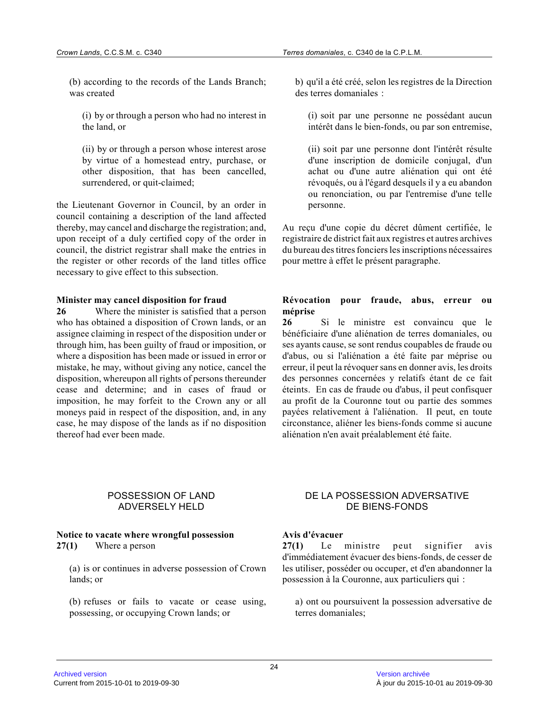(b) according to the records of the Lands Branch; was created

(i) by or through a person who had no interest in the land, or

(ii) by or through a person whose interest arose by virtue of a homestead entry, purchase, or other disposition, that has been cancelled, surrendered, or quit-claimed;

the Lieutenant Governor in Council, by an order in council containing a description of the land affected thereby, may cancel and discharge the registration; and, upon receipt of a duly certified copy of the order in council, the district registrar shall make the entries in the register or other records of the land titles office necessary to give effect to this subsection.

#### **Minister may cancel disposition for fraud**

**26** Where the minister is satisfied that a person who has obtained a disposition of Crown lands, or a n assignee claiming in respect of the disposition under or through him, has been guilty of fraud or imposition, or where a disposition has been made or issued in error or mistake, he may, without giving any notice, cancel the disposition, whereupon all rights of persons thereunder cease and determine; and in cases of fraud or imposition, he may forfeit to the Crown any or all moneys paid in respect of the disposition, and, in any case, he may dispose of the lands as if no disposition thereof had ever been made.

b) qu'il a été créé, selon les registres de la Direction des terres domaniales :

(i) soit par une personne ne possédant aucun intérêt dans le bien-fonds, ou par son entremise,

(ii) soit par une personne dont l'intérêt résulte d'une inscription de domicile conjugal, d'un achat ou d'une autre aliénation qui ont été révoqués, ou à l'égard desquels il y a eu abandon ou renonciation, ou par l'entremise d'une telle personne.

Au reçu d'une copie du décret dûment certifiée, le registraire de district fait aux registres et autres archives du bureau des titres fonciers les inscriptions nécessaires pour mettre à effet le présent paragraphe.

#### **Révocation pour fraude, abus, erreur ou méprise**

**26** Si le ministre est convaincu que le bénéficiaire d'une aliénation de terres domaniales, ou ses ayants cause, se sont rendus coupables de fraude ou d'abus, ou si l'aliénation a été faite par méprise ou erreur, il peut la révoquer sans en donner avis, les droits des personnes concernées y relatifs étant de ce fai t éteints. En cas de fraude ou d'abus, il peut confisquer au profit de la Couronne tout ou partie des sommes payées relativement à l'aliénation. Il peut, en toute circonstance, aliéner les biens-fonds comme si aucun e aliénation n'en avait préalablement été faite.

# POSSESSION OF LAND ADVERSELY HELD

#### **Notice to vacate where wrongful possession 27(1)** Where a person

(a) is or continues in adverse possession of Crown lands; or

(b) refuses or fails to vacate or cease using, possessing, or occupying Crown lands; or

# DE LA POSSESSION ADVERSATIVE DE BIENS-FONDS

# **Avis d'évacuer**

**27(1)** Le ministre peut signifier avis d'immédiatement évacuer des biens-fonds, de cesser d e les utiliser, posséder ou occuper, et d'en abandonner la possession à la Couronne, aux particuliers qui :

a) ont ou poursuivent la possession adversative de terres domaniales;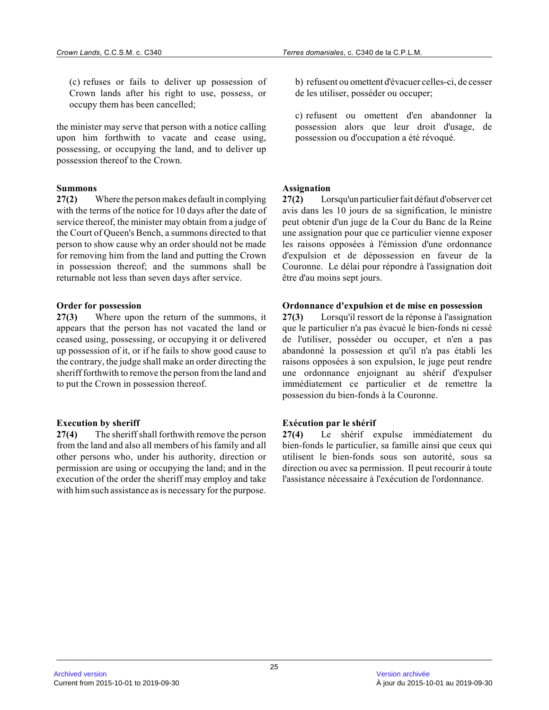(c) refuses or fails to deliver up possession of Crown lands after his right to use, possess, or occupy them has been cancelled;

the minister may serve that person with a notice calling upon him forthwith to vacate and cease using, possessing, or occupying the land, and to deliver up possession thereof to the Crown.

#### **Summons**

**27(2)** Where the person makes default in complying with the terms of the notice for 10 days after the date of service thereof, the minister may obtain from a judge of the Court of Queen's Bench, a summons directed to that person to show cause why an order should not be mad e for removing him from the land and putting the Crown in possession thereof; and the summons shall be returnable not less than seven days after service.

#### **Order for possession**

**27(3)** Where upon the return of the summons, it appears that the person has not vacated the land or ceased using, possessing, or occupying it or delivered up possession of it, or if he fails to show good cause to the contrary, the judge shall make an order directing the sheriff forthwith to remove the person from the land and to put the Crown in possession thereof.

#### **Execution by sheriff**

**27(4)** The sheriff shall forthwith remove the person from the land and also all members of his family and all other persons who, under his authority, direction o r permission are using or occupying the land; and in the execution of the order the sheriff may employ and take with him such assistance as is necessary for the purpose.

b) refusent ou omettent d'évacuer celles-ci, de cesser de les utiliser, posséder ou occuper;

c) refusent ou omettent d'en abandonner la possession alors que leur droit d'usage, de possession ou d'occupation a été révoqué.

#### **Assignation**

**27(2)** Lorsqu'un particulier fait défaut d'observer cet avis dans les 10 jours de sa signification, le ministre peut obtenir d'un juge de la Cour du Banc de la Reine une assignation pour que ce particulier vienne exposer les raisons opposées à l'émission d'une ordonnance d'expulsion et de dépossession en faveur de la Couronne. Le délai pour répondre à l'assignation doit être d'au moins sept jours.

### **Ordonnance d'expulsion et de mise en possession**

**27(3)** Lorsqu'il ressort de la réponse à l'assignation que le particulier n'a pas évacué le bien-fonds ni cessé de l'utiliser, posséder ou occuper, et n'en a pas abandonné la possession et qu'il n'a pas établi les raisons opposées à son expulsion, le juge peut rendre une ordonnance enjoignant au shérif d'expulser immédiatement ce particulier et de remettre la possession du bien-fonds à la Couronne.

#### **Exécution par le shérif**

**27(4)** Le shérif expulse immédiatement du bien-fonds le particulier, sa famille ainsi que ceux qui utilisent le bien-fonds sous son autorité, sous sa direction ou avec sa permission. Il peut recourir à toute l'assistance nécessaire à l'exécution de l'ordonnance.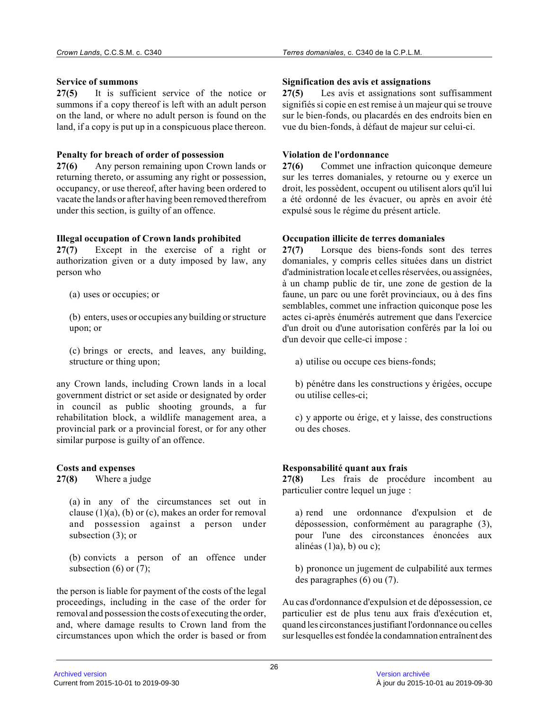# **Service of summons**

**27(5)** It is sufficient service of the notice or summons if a copy thereof is left with an adult person on the land, or where no adult person is found on the land, if a copy is put up in a conspicuous place thereon.

# **Penalty for breach of order of possession**

**27(6)** Any person remaining upon Crown lands or returning thereto, or assuming any right or possession, occupancy, or use thereof, after having been ordered to vacate the lands or after having been removed therefrom under this section, is guilty of an offence.

# **Illegal occupation of Crown lands prohibited**

**27(7)** Except in the exercise of a right or authorization given or a duty imposed by law, any person who

(a) uses or occupies; or

(b) enters, uses or occupies any building or structure upon; or

(c) brings or erects, and leaves, any building, structure or thing upon;

any Crown lands, including Crown lands in a local government district or set aside or designated by order in council as public shooting grounds, a fur rehabilitation block, a wildlife management area, a provincial park or a provincial forest, or for any other similar purpose is guilty of an offence.

# **Costs and expenses**

**27(8)** Where a judge

(a) in any of the circumstances set out in clause (1)(a), (b) or (c), makes an order for remova l and possession against a person under subsection (3); or

(b) convicts a person of an offence under subsection  $(6)$  or  $(7)$ ;

the person is liable for payment of the costs of the legal proceedings, including in the case of the order for removal and possession the costs of executing the order, and, where damage results to Crown land from the circumstances upon which the order is based or from

# **Signification des avis et assignations**

**27(5)** Les avis et assignations sont suffisamment signifiés si copie en est remise à un majeur qui se trouve sur le bien-fonds, ou placardés en des endroits bien en vue du bien-fonds, à défaut de majeur sur celui-ci.

# **Violation de l'ordonnance**

**27(6)** Commet une infraction quiconque demeure sur les terres domaniales, y retourne ou y exerce u n droit, les possèdent, occupent ou utilisent alors qu'il lui a été ordonné de les évacuer, ou après en avoir été expulsé sous le régime du présent article.

# **Occupation illicite de terres domaniales**

**27(7)** Lorsque des biens-fonds sont des terres domaniales, y compris celles situées dans un district d'administration locale et celles réservées, ou assignées, à un champ public de tir, une zone de gestion de la faune, un parc ou une forêt provinciaux, ou à des fins semblables, commet une infraction quiconque pose le s actes ci-après énumérés autrement que dans l'exercice d'un droit ou d'une autorisation conférés par la loi ou d'un devoir que celle-ci impose :

a) utilise ou occupe ces biens-fonds;

b) pénétre dans les constructions y érigées, occupe ou utilise celles-ci;

c) y apporte ou érige, et y laisse, des construction s ou des choses.

# **Responsabilité quant aux frais**

**27(8)** Les frais de procédure incombent au particulier contre lequel un juge :

a) rend une ordonnance d'expulsion et de dépossession, conformément au paragraphe (3), pour l'une des circonstances énoncées aux alinéas  $(1)$ a), b) ou c);

b) prononce un jugement de culpabilité aux termes des paragraphes (6) ou (7).

Au cas d'ordonnance d'expulsion et de dépossession, ce particulier est de plus tenu aux frais d'exécution et, quand les circonstances justifiant l'ordonnance ou celles sur lesquelles est fondée la condamnation entraînent des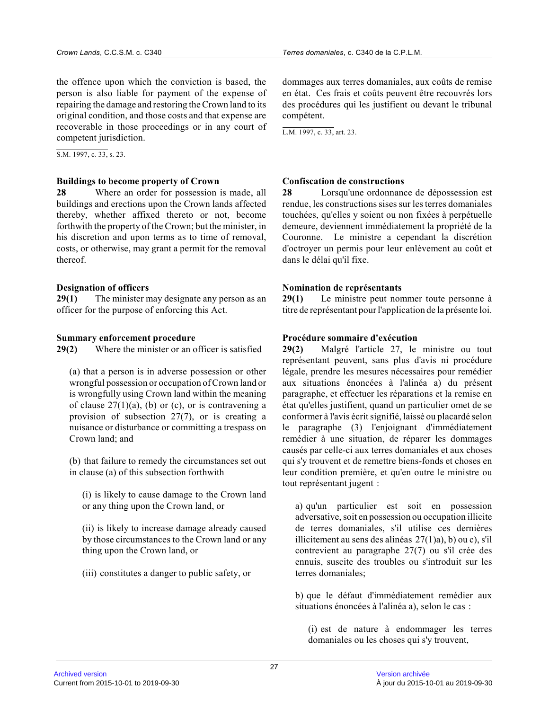the offence upon which the conviction is based, the person is also liable for payment of the expense of repairing the damage and restoring the Crown land to its original condition, and those costs and that expense are recoverable in those proceedings or in any court of competent jurisdiction.

S.M. 1997, c. 33, s. 23.

#### **Buildings to become property of Crown**

**28** Where an order for possession is made, all buildings and erections upon the Crown lands affected thereby, whether affixed thereto or not, become forthwith the property of the Crown; but the minister, in his discretion and upon terms as to time of removal, costs, or otherwise, may grant a permit for the removal thereof.

#### **Designation of officers**

**29(1)** The minister may designate any person as an officer for the purpose of enforcing this Act.

#### **Summary enforcement procedure**

**29(2)** Where the minister or an officer is satisfied

(a) that a person is in adverse possession or other wrongful possession or occupation of Crown land or is wrongfully using Crown land within the meaning of clause  $27(1)(a)$ , (b) or (c), or is contravening a provision of subsection 27(7), or is creating a nuisance or disturbance or committing a trespass on Crown land; and

(b) that failure to remedy the circumstances set out in clause (a) of this subsection forthwith

(i) is likely to cause damage to the Crown land or any thing upon the Crown land, or

(ii) is likely to increase damage already caused by those circumstances to the Crown land or any thing upon the Crown land, or

(iii) constitutes a danger to public safety, or

dommages aux terres domaniales, aux coûts de remise en état. Ces frais et coûts peuvent être recouvrés lors des procédures qui les justifient ou devant le tribunal compétent.

L.M. 1997, c. 33, art. 23.

#### **Confiscation de constructions**

**28** Lorsqu'une ordonnance de dépossession est rendue, les constructions sises sur les terres domaniales touchées, qu'elles y soient ou non fixées à perpétuelle demeure, deviennent immédiatement la propriété de la Couronne. Le ministre a cependant la discrétion d'octroyer un permis pour leur enlèvement au coût et dans le délai qu'il fixe.

#### **Nomination de représentants**

**29(1)** Le ministre peut nommer toute personne à titre de représentant pour l'application de la présente loi.

#### **Procédure sommaire d'exécution**

**29(2)** Malgré l'article 27, le ministre ou tout représentant peuvent, sans plus d'avis ni procédure légale, prendre les mesures nécessaires pour remédier aux situations énoncées à l'alinéa a) du présent paragraphe, et effectuer les réparations et la remise en état qu'elles justifient, quand un particulier omet de se conformer à l'avis écrit signifié, laissé ou placardé selon le paragraphe (3) l'enjoignant d'immédiatement remédier à une situation, de réparer les dommages causés par celle-ci aux terres domaniales et aux choses qui s'y trouvent et de remettre biens-fonds et choses en leur condition première, et qu'en outre le ministre ou tout représentant jugent :

a) qu'un particulier est soit en possession adversative, soit en possession ou occupation illicit e de terres domaniales, s'il utilise ces dernières illicitement au sens des alinéas 27(1)a), b) ou c), s'il contrevient au paragraphe 27(7) ou s'il crée des ennuis, suscite des troubles ou s'introduit sur les terres domaniales;

b) que le défaut d'immédiatement remédier aux situations énoncées à l'alinéa a), selon le cas :

(i) est de nature à endommager les terres domaniales ou les choses qui s'y trouvent,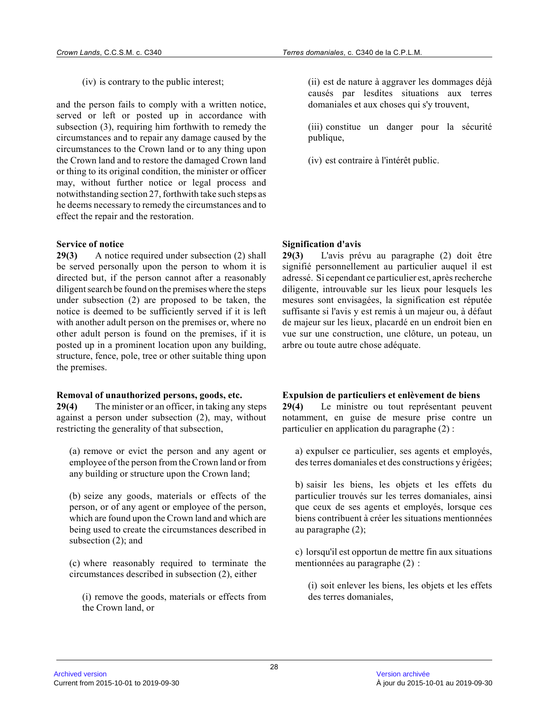(iv) is contrary to the public interest;

and the person fails to comply with a written notice, served or left or posted up in accordance with subsection (3), requiring him forthwith to remedy the circumstances and to repair any damage caused by the circumstances to the Crown land or to any thing upo n the Crown land and to restore the damaged Crown lan d or thing to its original condition, the minister or officer may, without further notice or legal process and notwithstanding section 27, forthwith take such steps as he deems necessary to remedy the circumstances and to effect the repair and the restoration.

# **Service of notice**

**29(3)** A notice required under subsection (2) shall be served personally upon the person to whom it is directed but, if the person cannot after a reasonably diligent search be found on the premises where the steps under subsection (2) are proposed to be taken, the notice is deemed to be sufficiently served if it is left with another adult person on the premises or, where no other adult person is found on the premises, if it is posted up in a prominent location upon any building , structure, fence, pole, tree or other suitable thing upon the premises.

#### **Removal of unauthorized persons, goods, etc.**

**29(4)** The minister or an officer, in taking any steps against a person under subsection (2), may, without restricting the generality of that subsection,

(a) remove or evict the person and any agent or employee of the person from the Crown land or from any building or structure upon the Crown land;

(b) seize any goods, materials or effects of the person, or of any agent or employee of the person, which are found upon the Crown land and which are being used to create the circumstances described in subsection (2); and

(c) where reasonably required to terminate the circumstances described in subsection (2), either

(i) remove the goods, materials or effects from the Crown land, or

(ii) est de nature à aggraver les dommages déjà causés par lesdites situations aux terres domaniales et aux choses qui s'y trouvent,

(iii) constitue un danger pour la sécurité publique,

(iv) est contraire à l'intérêt public.

**Signification d'avis**

**29(3)** L'avis prévu au paragraphe (2) doit être signifié personnellement au particulier auquel il est adressé. Si cependant ce particulier est, après recherche diligente, introuvable sur les lieux pour lesquels les mesures sont envisagées, la signification est réputé e suffisante si l'avis y est remis à un majeur ou, à défaut de majeur sur les lieux, placardé en un endroit bien en vue sur une construction, une clôture, un poteau, un arbre ou toute autre chose adéquate.

# **Expulsion de particuliers et enlèvement de biens**

**29(4)** Le ministre ou tout représentant peuvent notamment, en guise de mesure prise contre un particulier en application du paragraphe (2) :

a) expulser ce particulier, ses agents et employés, des terres domaniales et des constructions y érigées;

b) saisir les biens, les objets et les effets du particulier trouvés sur les terres domaniales, ainsi que ceux de ses agents et employés, lorsque ces biens contribuent à créer les situations mentionnée s au paragraphe (2);

c) lorsqu'il est opportun de mettre fin aux situations mentionnées au paragraphe (2) :

(i) soit enlever les biens, les objets et les effets des terres domaniales,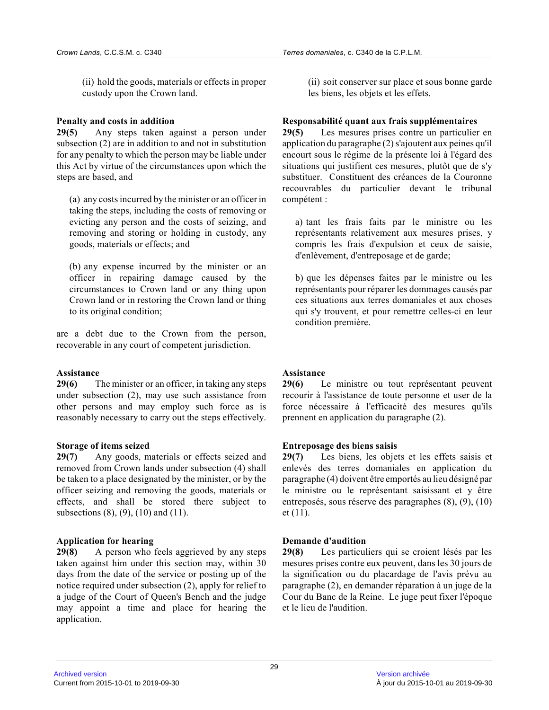(ii) hold the goods, materials or effects in proper custody upon the Crown land.

#### **Penalty and costs in addition**

**29(5)** Any steps taken against a person under subsection (2) are in addition to and not in substitution for any penalty to which the person may be liable under this Act by virtue of the circumstances upon which the steps are based, and

(a) any costs incurred by the minister or an officer in taking the steps, including the costs of removing or evicting any person and the costs of seizing, and removing and storing or holding in custody, any goods, materials or effects; and

(b) any expense incurred by the minister or an officer in repairing damage caused by the circumstances to Crown land or any thing upon Crown land or in restoring the Crown land or thing to its original condition;

are a debt due to the Crown from the person, recoverable in any court of competent jurisdiction.

#### **Assistance**

**29(6)** The minister or an officer, in taking any steps under subsection (2), may use such assistance from other persons and may employ such force as is reasonably necessary to carry out the steps effectively.

# **Storage of items seized**

**29(7)** Any goods, materials or effects seized and removed from Crown lands under subsection (4) shall be taken to a place designated by the minister, or by the officer seizing and removing the goods, materials or effects, and shall be stored there subject to subsections (8), (9), (10) and (11).

# **Application for hearing**

**29(8)** A person who feels aggrieved by any steps taken against him under this section may, within 30 days from the date of the service or posting up of the notice required under subsection (2), apply for relief to a judge of the Court of Queen's Bench and the judge may appoint a time and place for hearing the application.

(ii) soit conserver sur place et sous bonne garde les biens, les objets et les effets.

# **Responsabilité quant aux frais supplémentaires**

**29(5)** Les mesures prises contre un particulier en application du paragraphe (2) s'ajoutent aux peines qu'il encourt sous le régime de la présente loi à l'égard des situations qui justifient ces mesures, plutôt que de s'y substituer. Constituent des créances de la Couronn e recouvrables du particulier devant le tribunal compétent :

a) tant les frais faits par le ministre ou les représentants relativement aux mesures prises, y compris les frais d'expulsion et ceux de saisie, d'enlèvement, d'entreposage et de garde;

b) que les dépenses faites par le ministre ou les représentants pour réparer les dommages causés par ces situations aux terres domaniales et aux choses qui s'y trouvent, et pour remettre celles-ci en leur condition première.

# **Assistance**

**29(6)** Le ministre ou tout représentant peuvent recourir à l'assistance de toute personne et user de la force nécessaire à l'efficacité des mesures qu'ils prennent en application du paragraphe (2).

#### **Entreposage des biens saisis**

**29(7)** Les biens, les objets et les effets saisis et enlevés des terres domaniales en application du paragraphe (4) doivent être emportés au lieu désigné par le ministre ou le représentant saisissant et y être entreposés, sous réserve des paragraphes (8), (9), (10) et (11).

# **Demande d'audition**

**29(8)** Les particuliers qui se croient lésés par les mesures prises contre eux peuvent, dans les 30 jours de la signification ou du placardage de l'avis prévu au paragraphe (2), en demander réparation à un juge de la Cour du Banc de la Reine. Le juge peut fixer l'époque et le lieu de l'audition.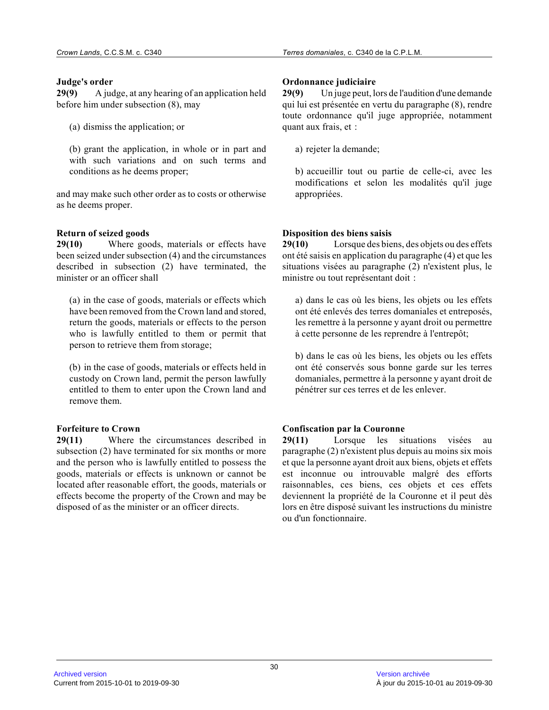#### **Judge's order**

**29(9)** A judge, at any hearing of an application held before him under subsection (8), may

(a) dismiss the application; or

(b) grant the application, in whole or in part and with such variations and on such terms and conditions as he deems proper;

and may make such other order as to costs or otherwise as he deems proper.

# **Return of seized goods**

**29(10)** Where goods, materials or effects have been seized under subsection (4) and the circumstances described in subsection (2) have terminated, the minister or an officer shall

(a) in the case of goods, materials or effects which have been removed from the Crown land and stored, return the goods, materials or effects to the perso n who is lawfully entitled to them or permit that person to retrieve them from storage;

(b) in the case of goods, materials or effects held in custody on Crown land, permit the person lawfully entitled to them to enter upon the Crown land and remove them.

# **Forfeiture to Crown**

**29(11)** Where the circumstances described in subsection (2) have terminated for six months or more and the person who is lawfully entitled to possess the goods, materials or effects is unknown or cannot be located after reasonable effort, the goods, materials or effects become the property of the Crown and may be disposed of as the minister or an officer directs.

### **Ordonnance judiciaire**

**29(9)** Un juge peut, lors de l'audition d'une demande qui lui est présentée en vertu du paragraphe (8), rendre toute ordonnance qu'il juge appropriée, notamment quant aux frais, et :

a) rejeter la demande;

b) accueillir tout ou partie de celle-ci, avec les modifications et selon les modalités qu'il juge appropriées.

# **Disposition des biens saisis**

**29(10)** Lorsque des biens, des objets ou des effets ont été saisis en application du paragraphe (4) et que les situations visées au paragraphe (2) n'existent plus, le ministre ou tout représentant doit :

a) dans le cas où les biens, les objets ou les effet s ont été enlevés des terres domaniales et entreposés, les remettre à la personne y ayant droit ou permettre à cette personne de les reprendre à l'entrepôt;

b) dans le cas où les biens, les objets ou les effet s ont été conservés sous bonne garde sur les terres domaniales, permettre à la personne y ayant droit d e pénétrer sur ces terres et de les enlever.

# **Confiscation par la Couronne**

**29(11)** Lorsque les situations visées au paragraphe (2) n'existent plus depuis au moins six mois et que la personne ayant droit aux biens, objets et effets est inconnue ou introuvable malgré des efforts raisonnables, ces biens, ces objets et ces effets deviennent la propriété de la Couronne et il peut dè s lors en être disposé suivant les instructions du ministre ou d'un fonctionnaire.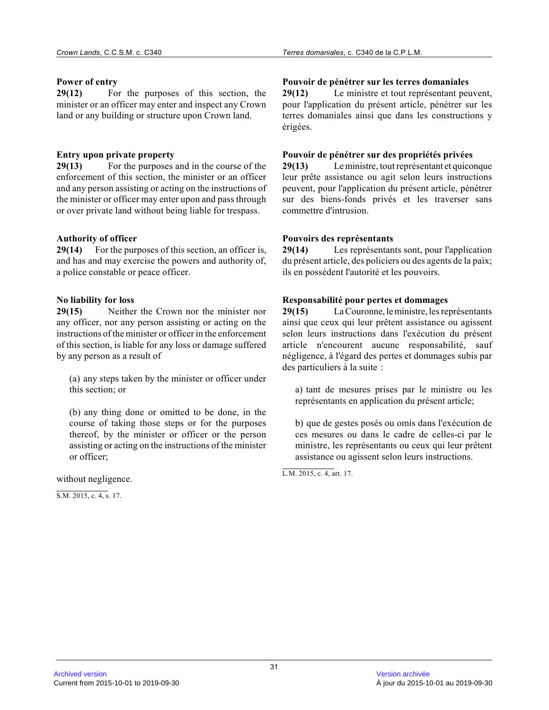#### **Power of entry**

**29(12)** For the purposes of this section, the minister or an officer may enter and inspect any Crown land or any building or structure upon Crown land.

# **Entry upon private property**

**29(13)** For the purposes and in the course of the enforcement of this section, the minister or an officer and any person assisting or acting on the instructions of the minister or officer may enter upon and pass through or over private land without being liable for trespass.

# **Authority of officer**

**29(14)** For the purposes of this section, an officer is, and has and may exercise the powers and authority of, a police constable or peace officer.

# **No liability for loss**

**29(15)** Neither the Crown nor the minister nor any officer, nor any person assisting or acting on the instructions of the minister or officer in the enforcement of this section, is liable for any loss or damage suffered by any person as a result of

(a) any steps taken by the minister or officer under this section; or

(b) any thing done or omitted to be done, in the course of taking those steps or for the purposes thereof, by the minister or officer or the person assisting or acting on the instructions of the minister or officer;

without negligence.

S.M. 2015, c. 4, s. 17.

# **Pouvoir de pénétrer sur les terres domaniales**

**29(12)** Le ministre et tout représentant peuvent, pour l'application du présent article, pénétrer sur les terres domaniales ainsi que dans les constructions y érigées.

# **Pouvoir de pénétrer sur des propriétés privées**

**29(13)** Le ministre, tout représentant et quiconque leur prête assistance ou agit selon leurs instructions peuvent, pour l'application du présent article, pénétrer sur des biens-fonds privés et les traverser sans commettre d'intrusion.

#### **Pouvoirs des représentants**

**29(14)** Les représentants sont, pour l'application du présent article, des policiers ou des agents de la paix; ils en possèdent l'autorité et les pouvoirs.

# **Responsabilité pour pertes et dommages**

**29(15)** La Couronne, le ministre, les représentants ainsi que ceux qui leur prêtent assistance ou agissent selon leurs instructions dans l'exécution du présen t article n'encourent aucune responsabilité, sauf négligence, à l'égard des pertes et dommages subis pa r des particuliers à la suite :

a) tant de mesures prises par le ministre ou les représentants en application du présent article;

b) que de gestes posés ou omis dans l'exécution de ces mesures ou dans le cadre de celles-ci par le ministre, les représentants ou ceux qui leur prêten t assistance ou agissent selon leurs instructions.

L.M. 2015, c. 4, art. 17.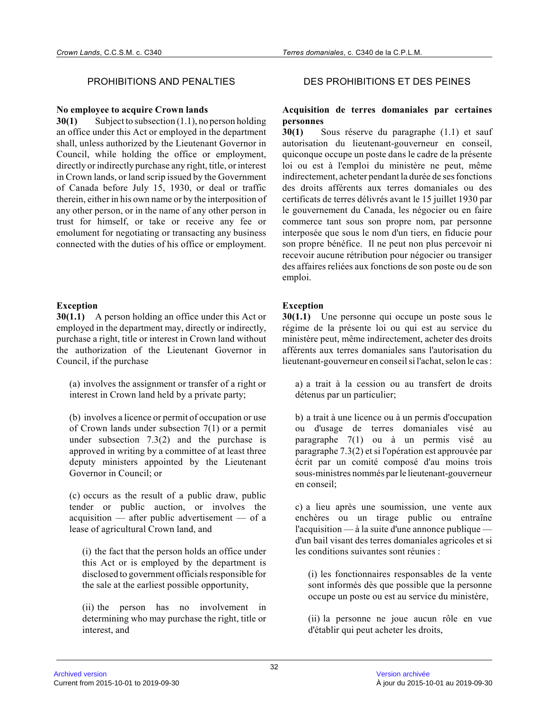#### **No employee to acquire Crown lands**

**30(1)** Subject to subsection (1.1), no person holding an office under this Act or employed in the department shall, unless authorized by the Lieutenant Governor in Council, while holding the office or employment, directly or indirectly purchase any right, title, or interest in Crown lands, or land scrip issued by the Government of Canada before July 15, 1930, or deal or traffic therein, either in his own name or by the interposition of any other person, or in the name of any other person in trust for himself, or take or receive any fee or emolument for negotiating or transacting any busines s connected with the duties of his office or employment.

# **Exception**

**30(1.1)** A person holding an office under this Act or employed in the department may, directly or indirectly, purchase a right, title or interest in Crown land without the authorization of the Lieutenant Governor in Council, if the purchase

(a) involves the assignment or transfer of a right or interest in Crown land held by a private party;

(b) involves a licence or permit of occupation or use of Crown lands under subsection 7(1) or a permit under subsection 7.3(2) and the purchase is approved in writing by a committee of at least three deputy ministers appointed by the Lieutenant Governor in Council; or

(c) occurs as the result of a public draw, public tender or public auction, or involves the acquisition — after public advertisement — of a lease of agricultural Crown land, and

(i) the fact that the person holds an office under this Act or is employed by the department is disclosed to government officials responsible for the sale at the earliest possible opportunity,

(ii) the person has no involvement in determining who may purchase the right, title or interest, and

# PROHIBITIONS AND PENALTIES DES PROHIBITIONS ET DES PEINES

# **Acquisition de terres domaniales par certaines personnes**

**30(1)** Sous réserve du paragraphe (1.1) et sauf autorisation du lieutenant-gouverneur en conseil, quiconque occupe un poste dans le cadre de la présente loi ou est à l'emploi du ministère ne peut, même indirectement, acheter pendant la durée de ses fonctions des droits afférents aux terres domaniales ou des certificats de terres délivrés avant le 15 juillet 1930 par le gouvernement du Canada, les négocier ou en faire commerce tant sous son propre nom, par personne interposée que sous le nom d'un tiers, en fiducie pour son propre bénéfice. Il ne peut non plus percevoir ni recevoir aucune rétribution pour négocier ou transiger des affaires reliées aux fonctions de son poste ou de son emploi.

# **Exception**

**30(1.1)** Une personne qui occupe un poste sous le régime de la présente loi ou qui est au service du ministère peut, même indirectement, acheter des droits afférents aux terres domaniales sans l'autorisation du lieutenant-gouverneur en conseil si l'achat, selon le cas :

a) a trait à la cession ou au transfert de droits détenus par un particulier;

b) a trait à une licence ou à un permis d'occupation ou d'usage de terres domaniales visé au paragraphe 7(1) ou à un permis visé au paragraphe 7.3(2) et si l'opération est approuvée pa r écrit par un comité composé d'au moins trois sous-ministres nommés par le lieutenant-gouverneur en conseil;

c) a lieu après une soumission, une vente aux enchères ou un tirage public ou entraîne l'acquisition — à la suite d'une annonce publique d'un bail visant des terres domaniales agricoles et si les conditions suivantes sont réunies :

(i) les fonctionnaires responsables de la vente sont informés dès que possible que la personne occupe un poste ou est au service du ministère,

(ii) la personne ne joue aucun rôle en vue d'établir qui peut acheter les droits,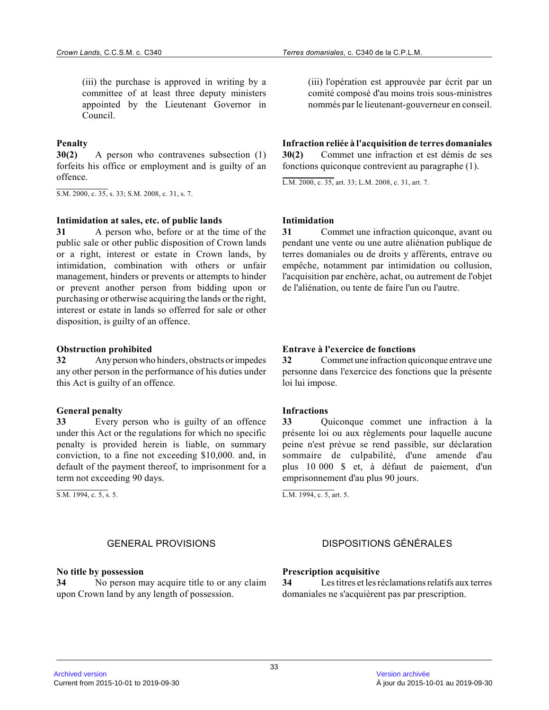(iii) the purchase is approved in writing by a committee of at least three deputy ministers appointed by the Lieutenant Governor in Council.

# **Penalty**

**30(2)** A person who contravenes subsection (1) forfeits his office or employment and is guilty of an offence.

S.M. 2000, c. 35, s. 33; S.M. 2008, c. 31, s. 7.

#### **Intimidation at sales, etc. of public lands**

**31** A person who, before or at the time of the public sale or other public disposition of Crown lands or a right, interest or estate in Crown lands, by intimidation, combination with others or unfair management, hinders or prevents or attempts to hinder or prevent another person from bidding upon or purchasing or otherwise acquiring the lands or the right, interest or estate in lands so offerred for sale or other disposition, is guilty of an offence.

#### **Obstruction prohibited**

**32** Any person who hinders, obstructs or impedes any other person in the performance of his duties under this Act is guilty of an offence.

#### **General penalty**

**33** Every person who is guilty of an offence under this Act or the regulations for which no specific penalty is provided herein is liable, on summary conviction, to a fine not exceeding \$10,000. and, in default of the payment thereof, to imprisonment for a term not exceeding 90 days.

S.M. 1994, c. 5, s. 5.

#### **No title by possession**

**34** No person may acquire title to or any claim upon Crown land by any length of possession.

(iii) l'opération est approuvée par écrit par un comité composé d'au moins trois sous-ministres nommés par le lieutenant-gouverneur en conseil.

**Infraction reliée à l'acquisition de terres domaniales 30(2)** Commet une infraction et est démis de ses fonctions quiconque contrevient au paragraphe (1).

L.M. 2000, c. 35, art. 33; L.M. 2008, c. 31, art. 7 .

#### **Intimidation**

**31** Commet une infraction quiconque, avant ou pendant une vente ou une autre aliénation publique d e terres domaniales ou de droits y afférents, entrave ou empêche, notamment par intimidation ou collusion, l'acquisition par enchère, achat, ou autrement de l'objet de l'aliénation, ou tente de faire l'un ou l'autre.

#### **Entrave à l'exercice de fonctions**

**32** Commet une infraction quiconque entrave une personne dans l'exercice des fonctions que la présente loi lui impose.

#### **Infractions**

**33** Quiconque commet une infraction à la présente loi ou aux règlements pour laquelle aucune peine n'est prévue se rend passible, sur déclaration sommaire de culpabilité, d'une amende d'au plus 10 000 \$ et, à défaut de paiement, d'un emprisonnement d'au plus 90 jours.

L.M. 1994, c. 5, art. 5.

# GENERAL PROVISIONS DISPOSITIONS GÉNÉRALES

#### **Prescription acquisitive**

**34** Les titres et les réclamations relatifs aux terres domaniales ne s'acquièrent pas par prescription.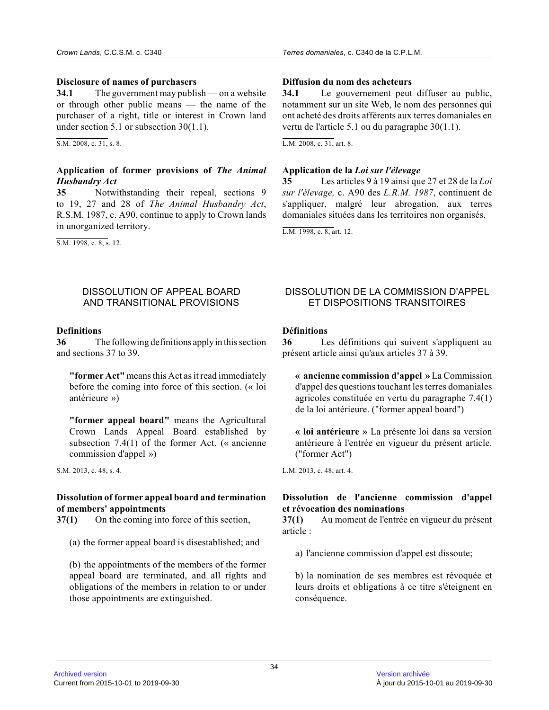#### **Disclosure of names of purchasers**

**34.1** The government may publish — on a website or through other public means — the name of the purchaser of a right, title or interest in Crown land under section 5.1 or subsection 30(1.1).

S.M. 2008, c. 31, s. 8.

# **Application of former provisions of** *The Animal Husbandry Act*

**35** Notwithstanding their repeal, sections 9 to 19, 27 and 28 of *The Animal Husbandry Act* , R.S.M. 1987, c. A90, continue to apply to Crown lands in unorganized territory.

S.M. 1998, c. 8, s. 12.

# **Diffusion du nom des acheteurs**

**34.1** Le gouvernement peut diffuser au public, notamment sur un site Web, le nom des personnes qui ont acheté des droits afférents aux terres domaniales en vertu de l'article 5.1 ou du paragraphe 30(1.1).

L.M. 2008, c. 31, art. 8.

# **Application de la** *Loi sur l'élevage*

**35** Les articles 9 à 19 ainsi que 27 et 28 de la *Loi sur l'élevage,* c. A90 des *L.R.M. 1987*, continuent de s'appliquer, malgré leur abrogation, aux terres domaniales situées dans les territoires non organisés.

L.M. 1998, c. 8, art. 12.

#### DISSOLUTION OF APPEAL BOARD AND TRANSITIONAL PROVISIONS

#### **Definitions**

**36** The following definitions apply in this section and sections 37 to 39.

**"former Act"** means this Act as it read immediately before the coming into force of this section. (« loi antérieure »)

**"former appeal board"** means the Agricultural Crown Lands Appeal Board established by subsection 7.4(1) of the former Act. (« ancienne commission d'appel »)

S.M. 2013, c. 48, s. 4.

# **Dissolution of former appeal board and termination of members' appointments**

**37(1)** On the coming into force of this section,

(a) the former appeal board is disestablished; and

(b) the appointments of the members of the former appeal board are terminated, and all rights and obligations of the members in relation to or under those appointments are extinguished.

# DISSOLUTION DE LA COMMISSION D'APPEL ET DISPOSITIONS TRANSITOIRES

# **Définitions**

**36** Les définitions qui suivent s'appliquent au présent article ainsi qu'aux articles 37 à 39.

**« ancienne commission d'appel »** La Commission d'appel des questions touchant les terres domaniale s agricoles constituée en vertu du paragraphe 7.4(1) de la loi antérieure. ("former appeal board")

**« loi antérieure »** La présente loi dans sa version antérieure à l'entrée en vigueur du présent article. ("former Act")

L.M. 2013, c. 48, art. 4.

# **Dissolution de l'ancienne commission d'appel et révocation des nominations**

**37(1)** Au moment de l'entrée en vigueur du présent article :

a) l'ancienne commission d'appel est dissoute;

b) la nomination de ses membres est révoquée et leurs droits et obligations à ce titre s'éteignent en conséquence.